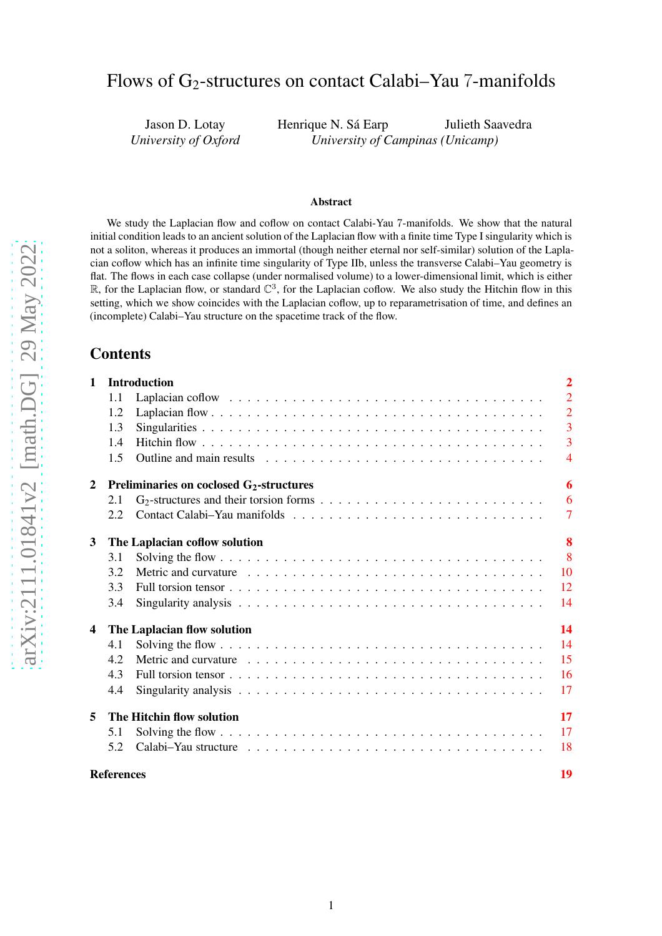# Flows of G2-structures on contact Calabi–Yau 7-manifolds

Jason D. Lotay *University of Oxford*

Henrique N. Sá Earp Julieth Saavedra *University of Campinas (Unicamp)*

#### Abstract

We study the Laplacian flow and coflow on contact Calabi-Yau 7-manifolds. We show that the natural initial condition leads to an ancient solution of the Laplacian flow with a finite time Type I singularity which is not a soliton, whereas it produces an immortal (though neither eternal nor self-similar) solution of the Laplacian coflow which has an infinite time singularity of Type IIb, unless the transverse Calabi–Yau geometry is flat. The flows in each case collapse (under normalised volume) to a lower-dimensional limit, which is either  $\mathbb R$ , for the Laplacian flow, or standard  $\mathbb C^3$ , for the Laplacian coflow. We also study the Hitchin flow in this setting, which we show coincides with the Laplacian coflow, up to reparametrisation of time, and defines an (incomplete) Calabi–Yau structure on the spacetime track of the flow.

# Contents

| $\mathbf{1}$            |                   | <b>Introduction</b><br>$\overline{2}$       |                |  |  |  |
|-------------------------|-------------------|---------------------------------------------|----------------|--|--|--|
|                         | 1.1               |                                             | $\overline{2}$ |  |  |  |
|                         | 1.2               |                                             | $\overline{2}$ |  |  |  |
|                         | 1.3               |                                             | $\overline{3}$ |  |  |  |
|                         | 1.4               |                                             | $\overline{3}$ |  |  |  |
|                         | 1.5               |                                             | $\overline{4}$ |  |  |  |
| $\overline{2}$          |                   | Preliminaries on coclosed $G_2$ -structures | 6              |  |  |  |
|                         | 2.1               |                                             | 6              |  |  |  |
|                         | 2.2               |                                             | $\tau$         |  |  |  |
| 3                       |                   | The Laplacian coflow solution               | 8              |  |  |  |
|                         | 3.1               |                                             | $\overline{8}$ |  |  |  |
|                         | 3.2               |                                             | 10             |  |  |  |
|                         | 3.3               |                                             | 12             |  |  |  |
|                         | 3.4               |                                             | 14             |  |  |  |
| $\overline{\mathbf{4}}$ |                   | The Laplacian flow solution                 | 14             |  |  |  |
|                         | 4.1               |                                             | 14             |  |  |  |
|                         | 4.2               |                                             | 15             |  |  |  |
|                         | 4.3               |                                             | 16             |  |  |  |
|                         | 4.4               |                                             | 17             |  |  |  |
| 5                       |                   | The Hitchin flow solution                   | 17             |  |  |  |
|                         | 5.1               |                                             | 17             |  |  |  |
|                         | 5.2               |                                             | 18             |  |  |  |
|                         | <b>References</b> |                                             | 19             |  |  |  |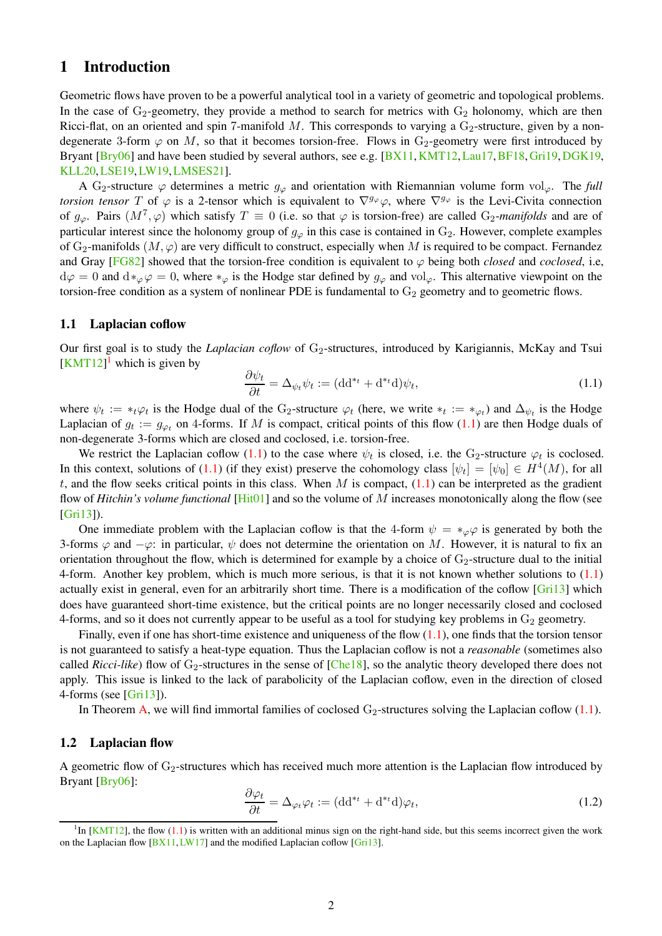# <span id="page-1-6"></span><span id="page-1-0"></span>1 Introduction

Geometric flows have proven to be a powerful analytical tool in a variety of geometric and topological problems. In the case of  $G_2$ -geometry, they provide a method to search for metrics with  $G_2$  holonomy, which are then Ricci-flat, on an oriented and spin 7-manifold M. This corresponds to varying a  $G_2$ -structure, given by a nondegenerate 3-form  $\varphi$  on M, so that it becomes torsion-free. Flows in G<sub>2</sub>-geometry were first introduced by Bryant [\[Bry06\]](#page-18-1) and have been studied by several authors, see e.g. [\[BX11,](#page-18-2) [KMT12,](#page-18-3) [Lau17,](#page-18-4) [BF18,](#page-18-5) [Gri19,](#page-18-6) [DGK19,](#page-18-7) [KLL20,](#page-18-8)[LSE19,](#page-18-9)[LW19,](#page-19-0)[LMSES21\]](#page-18-10).

A G<sub>2</sub>-structure  $\varphi$  determines a metric  $g_{\varphi}$  and orientation with Riemannian volume form vol<sub> $\varphi$ </sub>. The *full torsion tensor* T of  $\varphi$  is a 2-tensor which is equivalent to  $\nabla^{g_{\varphi}}\varphi$ , where  $\nabla^{g_{\varphi}}$  is the Levi-Civita connection of  $g_{\varphi}$ . Pairs  $(M^7, \varphi)$  which satisfy  $T \equiv 0$  (i.e. so that  $\varphi$  is torsion-free) are called G<sub>2</sub>-manifolds and are of particular interest since the holonomy group of  $g_{\varphi}$  in this case is contained in  $G_2$ . However, complete examples of  $G_2$ -manifolds  $(M, \varphi)$  are very difficult to construct, especially when M is required to be compact. Fernandez and Gray [\[FG82\]](#page-18-11) showed that the torsion-free condition is equivalent to  $\varphi$  being both *closed* and *coclosed*, i.e,  $d\varphi = 0$  and  $d\ast_{\varphi}\varphi = 0$ , where  $\ast_{\varphi}$  is the Hodge star defined by  $g_{\varphi}$  and vol<sub> $\varphi$ </sub>. This alternative viewpoint on the torsion-free condition as a system of nonlinear PDE is fundamental to  $G_2$  geometry and to geometric flows.

#### <span id="page-1-1"></span>1.1 Laplacian coflow

Our first goal is to study the *Laplacian coflow* of G<sub>2</sub>-structures, introduced by Karigiannis, McKay and Tsui  $\left[\text{KMT12}\right]$  $\left[\text{KMT12}\right]$  $\left[\text{KMT12}\right]$ <sup>1</sup> which is given by

<span id="page-1-4"></span>
$$
\frac{\partial \psi_t}{\partial t} = \Delta_{\psi_t} \psi_t := (\text{dd}^{*t} + \text{d}^{*t} \text{d}) \psi_t,\tag{1.1}
$$

where  $\psi_t := *_t \varphi_t$  is the Hodge dual of the G<sub>2</sub>-structure  $\varphi_t$  (here, we write  $*_t := *_{\varphi_t}$ ) and  $\Delta_{\psi_t}$  is the Hodge Laplacian of  $g_t := g_{\varphi_t}$  on 4-forms. If M is compact, critical points of this flow [\(1.1\)](#page-1-4) are then Hodge duals of non-degenerate 3-forms which are closed and coclosed, i.e. torsion-free.

We restrict the Laplacian coflow [\(1.1\)](#page-1-4) to the case where  $\psi_t$  is closed, i.e. the G<sub>2</sub>-structure  $\varphi_t$  is coclosed. In this context, solutions of [\(1.1\)](#page-1-4) (if they exist) preserve the cohomology class  $[\psi_t] = [\psi_0] \in H^4(M)$ , for all t, and the flow seeks critical points in this class. When M is compact,  $(1.1)$  can be interpreted as the gradient flow of *Hitchin's volume functional* [\[Hit01\]](#page-18-12) and so the volume of M increases monotonically along the flow (see [\[Gri13\]](#page-18-13)).

One immediate problem with the Laplacian coflow is that the 4-form  $\psi = *_{\varphi} \varphi$  is generated by both the 3-forms  $\varphi$  and  $-\varphi$ : in particular,  $\psi$  does not determine the orientation on M. However, it is natural to fix an orientation throughout the flow, which is determined for example by a choice of  $G_2$ -structure dual to the initial 4-form. Another key problem, which is much more serious, is that it is not known whether solutions to  $(1.1)$ actually exist in general, even for an arbitrarily short time. There is a modification of the coflow [\[Gri13\]](#page-18-13) which does have guaranteed short-time existence, but the critical points are no longer necessarily closed and coclosed 4-forms, and so it does not currently appear to be useful as a tool for studying key problems in  $G_2$  geometry.

Finally, even if one has short-time existence and uniqueness of the flow  $(1.1)$ , one finds that the torsion tensor is not guaranteed to satisfy a heat-type equation. Thus the Laplacian coflow is not a *reasonable* (sometimes also called *Ricci-like*) flow of  $G_2$ -structures in the sense of  $[Che18]$ , so the analytic theory developed there does not apply. This issue is linked to the lack of parabolicity of the Laplacian coflow, even in the direction of closed 4-forms (see [\[Gri13\]](#page-18-13)).

In Theorem [A,](#page-3-1) we will find immortal families of coclosed  $G_2$ -structures solving the Laplacian coflow [\(1.1\)](#page-1-4).

### <span id="page-1-2"></span>1.2 Laplacian flow

A geometric flow of  $G_2$ -structures which has received much more attention is the Laplacian flow introduced by Bryant [\[Bry06\]](#page-18-1):

<span id="page-1-5"></span>
$$
\frac{\partial \varphi_t}{\partial t} = \Delta_{\varphi_t} \varphi_t := (\text{dd}^{*t} + \text{d}^{*t} \text{d}) \varphi_t,\tag{1.2}
$$

<span id="page-1-3"></span> ${}^{1}$ In [\[KMT12\]](#page-18-3), the flow [\(1.1\)](#page-1-4) is written with an additional minus sign on the right-hand side, but this seems incorrect given the work on the Laplacian flow  $[BX11, LW17]$  $[BX11, LW17]$  and the modified Laplacian coflow [\[Gri13\]](#page-18-13).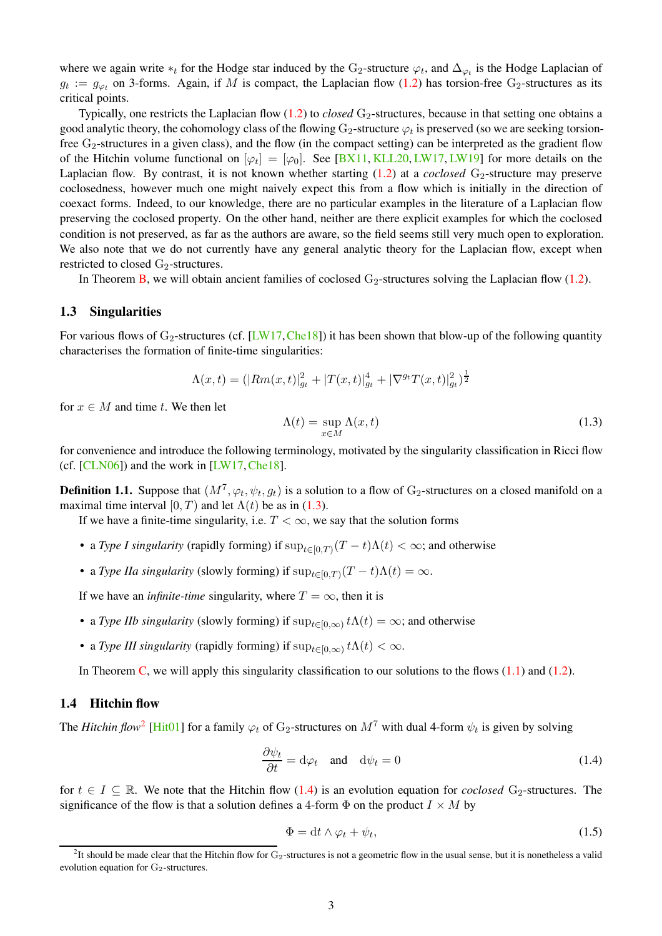<span id="page-2-6"></span>where we again write  $*_t$  for the Hodge star induced by the G<sub>2</sub>-structure  $\varphi_t$ , and  $\Delta_{\varphi_t}$  is the Hodge Laplacian of  $g_t := g_{\varphi_t}$  on 3-forms. Again, if M is compact, the Laplacian flow [\(1.2\)](#page-1-5) has torsion-free G<sub>2</sub>-structures as its critical points.

Typically, one restricts the Laplacian flow [\(1.2\)](#page-1-5) to *closed* G<sub>2</sub>-structures, because in that setting one obtains a good analytic theory, the cohomology class of the flowing  $G_2$ -structure  $\varphi_t$  is preserved (so we are seeking torsionfree G2-structures in a given class), and the flow (in the compact setting) can be interpreted as the gradient flow of the Hitchin volume functional on  $[\varphi_t] = [\varphi_0]$ . See [\[BX11,](#page-18-2) [KLL20,](#page-18-8) [LW17,](#page-19-1) [LW19\]](#page-19-0) for more details on the Laplacian flow. By contrast, it is not known whether starting  $(1.2)$  at a *coclosed* G<sub>2</sub>-structure may preserve coclosedness, however much one might naively expect this from a flow which is initially in the direction of coexact forms. Indeed, to our knowledge, there are no particular examples in the literature of a Laplacian flow preserving the coclosed property. On the other hand, neither are there explicit examples for which the coclosed condition is not preserved, as far as the authors are aware, so the field seems still very much open to exploration. We also note that we do not currently have any general analytic theory for the Laplacian flow, except when restricted to closed  $G_2$ -structures.

In Theorem [B,](#page-4-0) we will obtain ancient families of coclosed  $G_2$ -structures solving the Laplacian flow [\(1.2\)](#page-1-5).

### <span id="page-2-0"></span>1.3 Singularities

For various flows of  $G_2$ -structures (cf. [\[LW17,](#page-19-1) [Che18\]](#page-18-14)) it has been shown that blow-up of the following quantity characterises the formation of finite-time singularities:

$$
\Lambda(x,t) = (|Rm(x,t)|_{g_t}^2 + |T(x,t)|_{g_t}^4 + |\nabla^{g_t}T(x,t)|_{g_t}^2)^{\frac{1}{2}}
$$

for  $x \in M$  and time t. We then let

<span id="page-2-2"></span>
$$
\Lambda(t) = \sup_{x \in M} \Lambda(x, t) \tag{1.3}
$$

for convenience and introduce the following terminology, motivated by the singularity classification in Ricci flow (cf.  $[CLN06]$ ) and the work in  $[LW17, Che18]$  $[LW17, Che18]$  $[LW17, Che18]$ .

<span id="page-2-5"></span>**Definition 1.1.** Suppose that  $(M^7, \varphi_t, \psi_t, g_t)$  is a solution to a flow of  $G_2$ -structures on a closed manifold on a maximal time interval  $[0, T)$  and let  $\Lambda(t)$  be as in [\(1.3\)](#page-2-2).

If we have a finite-time singularity, i.e.  $T < \infty$ , we say that the solution forms

- a *Type I singularity* (rapidly forming) if  $\sup_{t\in[0,T)}(T-t)\Lambda(t)<\infty$ ; and otherwise
- a *Type IIa singularity* (slowly forming) if  $\sup_{t\in[0,T)}(T-t)\Lambda(t)=\infty$ .

If we have an *infinite-time* singularity, where  $T = \infty$ , then it is

- a *Type IIb singularity* (slowly forming) if  $\sup_{t\in[0,\infty)} t\Lambda(t) = \infty$ ; and otherwise
- a *Type III singularity* (rapidly forming) if  $\sup_{t\in[0,\infty)} t\Lambda(t) < \infty$ .

In Theorem [C,](#page-4-1) we will apply this singularity classification to our solutions to the flows  $(1.1)$  and  $(1.2)$ .

# <span id="page-2-1"></span>1.4 Hitchin flow

The *Hitchin flow*<sup>[2](#page-2-3)</sup> [\[Hit01\]](#page-18-12) for a family  $\varphi_t$  of G<sub>2</sub>-structures on  $M^7$  with dual 4-form  $\psi_t$  is given by solving

<span id="page-2-4"></span>
$$
\frac{\partial \psi_t}{\partial t} = d\varphi_t \quad \text{and} \quad d\psi_t = 0 \tag{1.4}
$$

for  $t \in I \subseteq \mathbb{R}$ . We note that the Hitchin flow [\(1.4\)](#page-2-4) is an evolution equation for *coclosed* G<sub>2</sub>-structures. The significance of the flow is that a solution defines a 4-form  $\Phi$  on the product  $I \times M$  by

$$
\Phi = dt \wedge \varphi_t + \psi_t,\tag{1.5}
$$

<span id="page-2-3"></span> ${}^{2}$ It should be made clear that the Hitchin flow for G<sub>2</sub>-structures is not a geometric flow in the usual sense, but it is nonetheless a valid evolution equation for  $G_2$ -structures.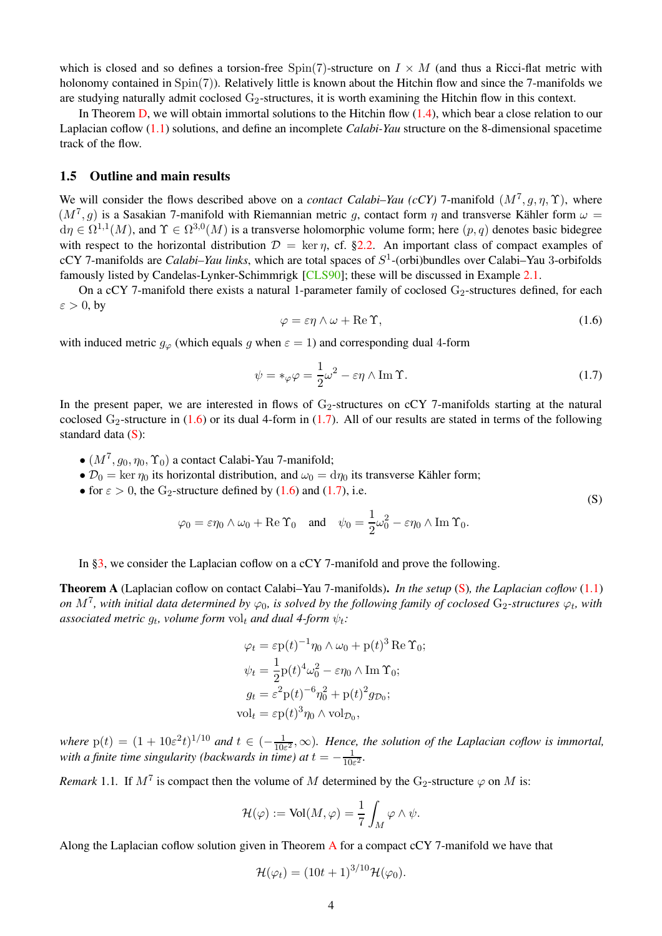<span id="page-3-5"></span>which is closed and so defines a torsion-free  $Spin(7)$ -structure on  $I \times M$  (and thus a Ricci-flat metric with holonomy contained in  $Spin(7)$ ). Relatively little is known about the Hitchin flow and since the 7-manifolds we are studying naturally admit coclosed  $G_2$ -structures, it is worth examining the Hitchin flow in this context.

In Theorem [D,](#page-4-2) we will obtain immortal solutions to the Hitchin flow [\(1.4\)](#page-2-4), which bear a close relation to our Laplacian coflow [\(1.1\)](#page-1-4) solutions, and define an incomplete *Calabi-Yau* structure on the 8-dimensional spacetime track of the flow.

## <span id="page-3-0"></span>1.5 Outline and main results

We will consider the flows described above on a *contact Calabi–Yau (cCY)* 7-manifold  $(M^7, g, \eta, \Upsilon)$ , where  $(M^7, g)$  is a Sasakian 7-manifold with Riemannian metric g, contact form  $\eta$  and transverse Kähler form  $\omega =$  $d\eta \in \Omega^{1,1}(M)$ , and  $\Upsilon \in \Omega^{3,0}(M)$  is a transverse holomorphic volume form; here  $(p,q)$  denotes basic bidegree with respect to the horizontal distribution  $\mathcal{D} = \ker \eta$ , cf. [§2.2.](#page-6-0) An important class of compact examples of cCY 7-manifolds are *Calabi–Yau links*, which are total spaces of S 1 -(orbi)bundles over Calabi–Yau 3-orbifolds famously listed by Candelas-Lynker-Schimmrigk [\[CLS90\]](#page-18-16); these will be discussed in Example [2.1.](#page-7-2)

On a cCY 7-manifold there exists a natural 1-parameter family of coclosed  $G_2$ -structures defined, for each  $\varepsilon > 0$ , by

<span id="page-3-2"></span>
$$
\varphi = \varepsilon \eta \wedge \omega + \text{Re}\,\Upsilon,\tag{1.6}
$$

<span id="page-3-4"></span>(S)

with induced metric  $g_{\varphi}$  (which equals g when  $\varepsilon = 1$ ) and corresponding dual 4-form

<span id="page-3-3"></span>
$$
\psi = *_{\varphi} \varphi = \frac{1}{2} \omega^2 - \varepsilon \eta \wedge \operatorname{Im} \Upsilon.
$$
\n(1.7)

In the present paper, we are interested in flows of  $G_2$ -structures on cCY 7-manifolds starting at the natural coclosed  $G_2$ -structure in [\(1.6\)](#page-3-2) or its dual 4-form in [\(1.7\)](#page-3-3). All of our results are stated in terms of the following standard data [\(S\)](#page-3-4):

- $\bullet$   $(M^7, g_0, \eta_0, \Upsilon_0)$  a contact Calabi-Yau 7-manifold;
- $\mathcal{D}_0 = \ker \eta_0$  its horizontal distribution, and  $\omega_0 = d\eta_0$  its transverse Kähler form;
- for  $\varepsilon > 0$ , the G<sub>2</sub>-structure defined by [\(1.6\)](#page-3-2) and [\(1.7\)](#page-3-3), i.e.

$$
\varphi_0 = \varepsilon \eta_0 \wedge \omega_0 + \text{Re } \Upsilon_0 \text{ and } \psi_0 = \frac{1}{2} \omega_0^2 - \varepsilon \eta_0 \wedge \text{Im } \Upsilon_0.
$$

In [§3,](#page-7-0) we consider the Laplacian coflow on a cCY 7-manifold and prove the following.

<span id="page-3-1"></span>Theorem A (Laplacian coflow on contact Calabi–Yau 7-manifolds). *In the setup* [\(S\)](#page-3-4)*, the Laplacian coflow* [\(1.1\)](#page-1-4) *on*  $M^7$ , with initial data determined by  $\varphi_0$ , is solved by the following family of coclosed  $G_2$ -structures  $\varphi_t$ , with  $a$ ssociated metric  $g_t$ , volume form  $\mathrm{vol}_t$  and dual 4-form  $\psi_t$ :

$$
\varphi_t = \varepsilon \mathbf{p}(t)^{-1} \eta_0 \wedge \omega_0 + \mathbf{p}(t)^3 \operatorname{Re} \Upsilon_0;
$$
  

$$
\psi_t = \frac{1}{2} \mathbf{p}(t)^4 \omega_0^2 - \varepsilon \eta_0 \wedge \operatorname{Im} \Upsilon_0;
$$
  

$$
g_t = \varepsilon^2 \mathbf{p}(t)^{-6} \eta_0^2 + \mathbf{p}(t)^2 g_{\mathcal{D}_0};
$$
  

$$
\text{vol}_t = \varepsilon \mathbf{p}(t)^3 \eta_0 \wedge \text{vol}_{\mathcal{D}_0},
$$

*where*  $p(t) = (1 + 10\varepsilon^2 t)^{1/10}$  *and*  $t \in (-\frac{1}{10\varepsilon^2})$  $\frac{1}{10\varepsilon^2}$ ,  $\infty$ ). Hence, the solution of the Laplacian coflow is immortal, *with a finite time singularity (backwards in time) at*  $t = -\frac{1}{105}$  $\frac{1}{10\varepsilon^2}$ 

*Remark* 1.1. If  $M^7$  is compact then the volume of M determined by the G<sub>2</sub>-structure  $\varphi$  on M is:

$$
\mathcal{H}(\varphi) := \text{Vol}(M, \varphi) = \frac{1}{7} \int_M \varphi \wedge \psi.
$$

[A](#page-3-1)long the Laplacian coflow solution given in Theorem A for a compact  $cCY$  7-manifold we have that

$$
\mathcal{H}(\varphi_t) = (10t+1)^{3/10} \mathcal{H}(\varphi_0).
$$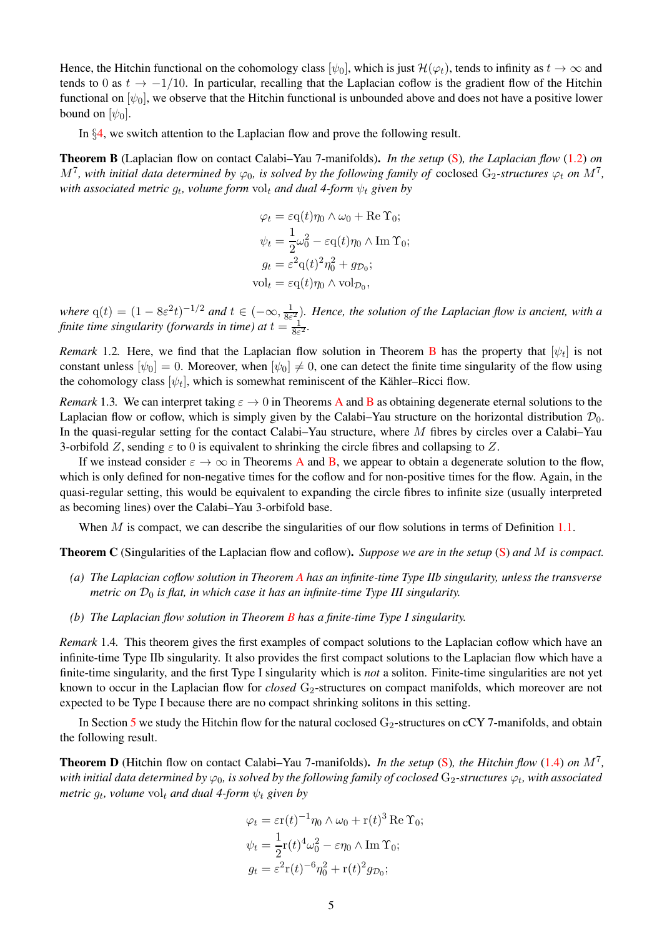Hence, the Hitchin functional on the cohomology class  $[\psi_0]$ , which is just  $\mathcal{H}(\varphi_t)$ , tends to infinity as  $t \to \infty$  and tends to 0 as  $t \rightarrow -1/10$ . In particular, recalling that the Laplacian coflow is the gradient flow of the Hitchin functional on  $[\psi_0]$ , we observe that the Hitchin functional is unbounded above and does not have a positive lower bound on  $[\psi_0]$ .

In §[4,](#page-13-1) we switch attention to the Laplacian flow and prove the following result.

<span id="page-4-0"></span>Theorem B (Laplacian flow on contact Calabi–Yau 7-manifolds). *In the setup* [\(S\)](#page-3-4)*, the Laplacian flow* [\(1.2\)](#page-1-5) *on*  $M^7$ , with initial data determined by  $\varphi_0$ , is solved by the following family of coclosed  $G_2$ -structures  $\varphi_t$  on  $M^7$ ,  $with\ associated\ metric\ g_t, \ volume\ form\ vol_t\ and\ dual\ 4-form\ \psi_t\ given\ by$ 

$$
\varphi_t = \varepsilon q(t)\eta_0 \wedge \omega_0 + \text{Re }\Upsilon_0;
$$
  

$$
\psi_t = \frac{1}{2}\omega_0^2 - \varepsilon q(t)\eta_0 \wedge \text{Im }\Upsilon_0;
$$
  

$$
g_t = \varepsilon^2 q(t)^2 \eta_0^2 + g_{\mathcal{D}_0};
$$
  

$$
\text{vol}_t = \varepsilon q(t)\eta_0 \wedge \text{vol}_{\mathcal{D}_0},
$$

*where*  $q(t) = (1 - 8\varepsilon^2 t)^{-1/2}$  *and*  $t \in (-\infty, \frac{1}{8\varepsilon})$  $\frac{1}{8\varepsilon^2}$ ). Hence, the solution of the Laplacian flow is ancient, with a *finite time singularity (forwards in time) at*  $t = \frac{1}{8\varepsilon}$  $\frac{1}{8\varepsilon^2}$ 

*Remark* 1.2. Here, we find that the Laplacian flow solution in Theorem **[B](#page-4-0)** has the property that  $[\psi_t]$  is not constant unless  $[\psi_0] = 0$ . Moreover, when  $[\psi_0] \neq 0$ , one can detect the finite time singularity of the flow using the cohomology class  $[\psi_t]$ , which is somewhat reminiscent of the Kähler–Ricci flow.

*Remark* 1.3. We can interpret taking  $\varepsilon \to 0$  in Theorems [A](#page-3-1) and [B](#page-4-0) as obtaining degenerate eternal solutions to the Laplacian flow or coflow, which is simply given by the Calabi–Yau structure on the horizontal distribution  $\mathcal{D}_0$ . In the quasi-regular setting for the contact Calabi–Yau structure, where M fibres by circles over a Calabi–Yau 3-orbifold Z, sending  $\varepsilon$  to 0 is equivalent to shrinking the circle fibres and collapsing to Z.

If we instead consider  $\varepsilon \to \infty$  in Theorems [A](#page-3-1) and [B,](#page-4-0) we appear to obtain a degenerate solution to the flow, which is only defined for non-negative times for the coflow and for non-positive times for the flow. Again, in the quasi-regular setting, this would be equivalent to expanding the circle fibres to infinite size (usually interpreted as becoming lines) over the Calabi–Yau 3-orbifold base.

When  $M$  is compact, we can describe the singularities of our flow solutions in terms of Definition [1.1.](#page-2-5)

<span id="page-4-1"></span>Theorem C (Singularities of the Laplacian flow and coflow). *Suppose we are in the setup* [\(S\)](#page-3-4) *and* M *is compact.*

- *(a) The Laplacian coflow solution in Theorem [A](#page-3-1) has an infinite-time Type IIb singularity, unless the transverse metric on*  $\mathcal{D}_0$  *is flat, in which case it has an infinite-time Type III singularity.*
- *(b) The Laplacian flow solution in Theorem [B](#page-4-0) has a finite-time Type I singularity.*

*Remark* 1.4*.* This theorem gives the first examples of compact solutions to the Laplacian coflow which have an infinite-time Type IIb singularity. It also provides the first compact solutions to the Laplacian flow which have a finite-time singularity, and the first Type I singularity which is *not* a soliton. Finite-time singularities are not yet known to occur in the Laplacian flow for *closed* G<sub>2</sub>-structures on compact manifolds, which moreover are not expected to be Type I because there are no compact shrinking solitons in this setting.

In Section [5](#page-16-1) we study the Hitchin flow for the natural coclosed  $G_2$ -structures on cCY 7-manifolds, and obtain the following result.

<span id="page-4-2"></span>Theorem D (Hitchin flow on contact Calabi–Yau 7-manifolds). *In the setup* [\(S\)](#page-3-4)*, the Hitchin flow* [\(1.4\)](#page-2-4) *on* M<sup>7</sup> *,* with initial data determined by  $\varphi_0$ , is solved by the following family of coclosed  $\rm G_2$ -structures  $\varphi_t$ , with associated *metric*  $g_t$ , volume  $\text{vol}_t$  and dual 4-form  $\psi_t$  given by

$$
\varphi_t = \varepsilon \mathbf{r}(t)^{-1} \eta_0 \wedge \omega_0 + \mathbf{r}(t)^3 \operatorname{Re} \Upsilon_0;
$$
  

$$
\psi_t = \frac{1}{2} \mathbf{r}(t)^4 \omega_0^2 - \varepsilon \eta_0 \wedge \operatorname{Im} \Upsilon_0;
$$
  

$$
g_t = \varepsilon^2 \mathbf{r}(t)^{-6} \eta_0^2 + \mathbf{r}(t)^2 g_{\mathcal{D}_0};
$$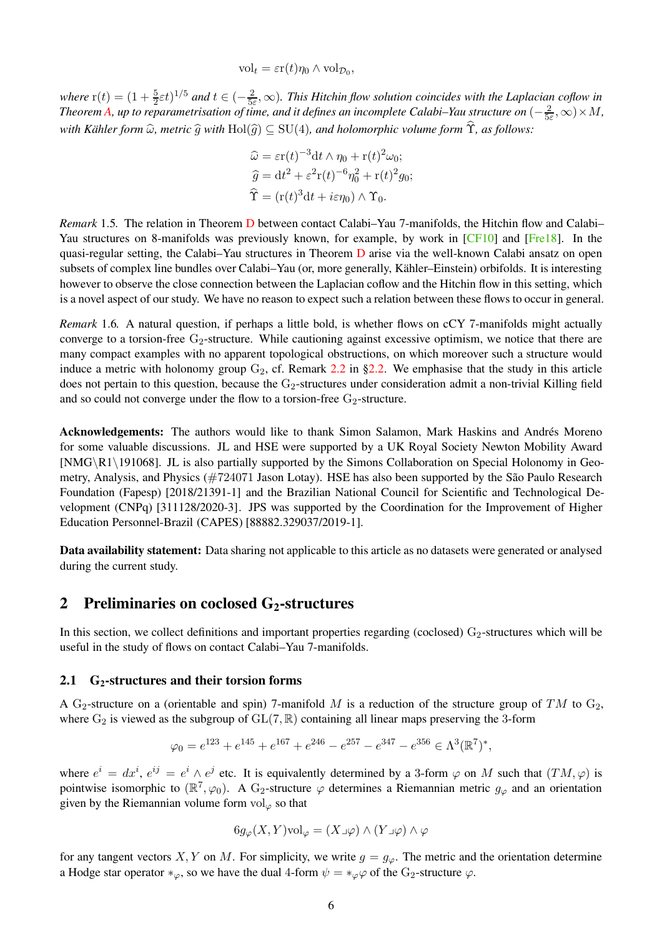$\mathrm{vol}_t = \varepsilon \mathrm{r}(t) \eta_0 \wedge \mathrm{vol}_{\mathcal{D}_0},$ 

<span id="page-5-2"></span>*where*  $r(t) = (1 + \frac{5}{2}\varepsilon t)^{1/5}$  *and*  $t \in (-\frac{2}{5\varepsilon})$  $\frac{2}{5\varepsilon}$ ,  $\infty$ ). This Hitchin flow solution coincides with the Laplacian coflow in *Theorem A*, up to reparametrisation of time, and it defines an incomplete Calabi–Yau structure on  $\left(-\frac{2}{5}\right)$  $\frac{2}{5\varepsilon}, \infty) \times M$ , *with Kähler form*  $\widehat{\omega}$ *, metric*  $\widehat{g}$  *with*  $Hol(\widehat{g}) \subseteq SU(4)$ *, and holomorphic volume form*  $\widehat{T}$ *, as follows:* 

$$
\widehat{\omega} = \varepsilon r(t)^{-3} dt \wedge \eta_0 + r(t)^2 \omega_0;
$$
  

$$
\widehat{g} = dt^2 + \varepsilon^2 r(t)^{-6} \eta_0^2 + r(t)^2 g_0;
$$
  

$$
\widehat{\Upsilon} = (r(t)^3 dt + i\varepsilon \eta_0) \wedge \Upsilon_0.
$$

*Remark* 1.5*.* The relation in Theorem [D](#page-4-2) between contact Calabi–Yau 7-manifolds, the Hitchin flow and Calabi– Yau structures on 8-manifolds was previously known, for example, by work in [\[CF10\]](#page-18-17) and [\[Fre18\]](#page-18-18). In the quasi-regular setting, the Calabi–Yau structures in Theorem [D](#page-4-2) arise via the well-known Calabi ansatz on open subsets of complex line bundles over Calabi–Yau (or, more generally, Kähler–Einstein) orbifolds. It is interesting however to observe the close connection between the Laplacian coflow and the Hitchin flow in this setting, which is a novel aspect of our study. We have no reason to expect such a relation between these flows to occur in general.

*Remark* 1.6*.* A natural question, if perhaps a little bold, is whether flows on cCY 7-manifolds might actually converge to a torsion-free  $G_2$ -structure. While cautioning against excessive optimism, we notice that there are many compact examples with no apparent topological obstructions, on which moreover such a structure would induce a metric with holonomy group  $G_2$ , cf. Remark [2.2](#page-7-3) in [§2.2.](#page-6-0) We emphasise that the study in this article does not pertain to this question, because the  $G_2$ -structures under consideration admit a non-trivial Killing field and so could not converge under the flow to a torsion-free  $G_2$ -structure.

Acknowledgements: The authors would like to thank Simon Salamon, Mark Haskins and Andrés Moreno for some valuable discussions. JL and HSE were supported by a UK Royal Society Newton Mobility Award [NMG\R1\191068]. JL is also partially supported by the Simons Collaboration on Special Holonomy in Geometry, Analysis, and Physics (#724071 Jason Lotay). HSE has also been supported by the São Paulo Research Foundation (Fapesp) [2018/21391-1] and the Brazilian National Council for Scientific and Technological Development (CNPq) [311128/2020-3]. JPS was supported by the Coordination for the Improvement of Higher Education Personnel-Brazil (CAPES) [88882.329037/2019-1].

Data availability statement: Data sharing not applicable to this article as no datasets were generated or analysed during the current study.

# <span id="page-5-0"></span>2 Preliminaries on coclosed  $G_2$ -structures

In this section, we collect definitions and important properties regarding (coclosed)  $G_2$ -structures which will be useful in the study of flows on contact Calabi–Yau 7-manifolds.

## <span id="page-5-1"></span>2.1  $G_2$ -structures and their torsion forms

A G<sub>2</sub>-structure on a (orientable and spin) 7-manifold M is a reduction of the structure group of TM to G<sub>2</sub>, where  $G_2$  is viewed as the subgroup of  $GL(7, \mathbb{R})$  containing all linear maps preserving the 3-form

$$
\varphi_0 = e^{123} + e^{145} + e^{167} + e^{246} - e^{257} - e^{347} - e^{356} \in \Lambda^3(\mathbb{R}^7)^*,
$$

where  $e^i = dx^i$ ,  $e^{ij} = e^i \wedge e^j$  etc. It is equivalently determined by a 3-form  $\varphi$  on M such that  $(TM, \varphi)$  is pointwise isomorphic to  $(\mathbb{R}^7,\varphi_0)$ . A G<sub>2</sub>-structure  $\varphi$  determines a Riemannian metric  $g_{\varphi}$  and an orientation given by the Riemannian volume form  $\mathrm{vol}_{\varphi}$  so that

$$
6g_{\varphi}(X,Y)\text{vol}_{\varphi} = (X \lrcorner \varphi) \wedge (Y \lrcorner \varphi) \wedge \varphi
$$

for any tangent vectors X, Y on M. For simplicity, we write  $g = g_{\varphi}$ . The metric and the orientation determine a Hodge star operator  $*_\varphi$ , so we have the dual 4-form  $\psi = *_\varphi\varphi$  of the G<sub>2</sub>-structure  $\varphi$ .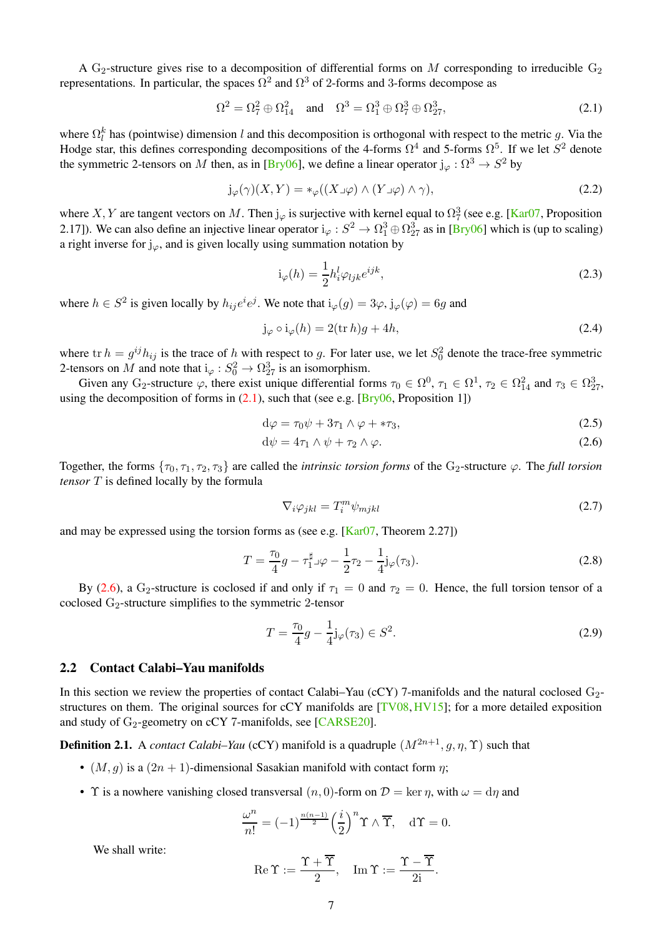<span id="page-6-7"></span>A  $G_2$ -structure gives rise to a decomposition of differential forms on M corresponding to irreducible  $G_2$ representations. In particular, the spaces  $\Omega^2$  and  $\Omega^3$  of 2-forms and 3-forms decompose as

$$
\Omega^2 = \Omega_7^2 \oplus \Omega_{14}^2 \quad \text{and} \quad \Omega^3 = \Omega_1^3 \oplus \Omega_7^3 \oplus \Omega_{27}^3,\tag{2.1}
$$

where  $\Omega_l^k$  has (pointwise) dimension l and this decomposition is orthogonal with respect to the metric g. Via the Hodge star, this defines corresponding decompositions of the 4-forms  $\Omega^4$  and 5-forms  $\Omega^5$ . If we let  $S^2$  denote the symmetric 2-tensors on M then, as in [\[Bry06\]](#page-18-1), we define a linear operator  $j_{\varphi}: \Omega^3 \to S^2$  by

$$
j_{\varphi}(\gamma)(X,Y) = *_{\varphi}((X \lrcorner \varphi) \wedge (Y \lrcorner \varphi) \wedge \gamma), \tag{2.2}
$$

where X, Y are tangent vectors on M. Then  $j_{\varphi}$  is surjective with kernel equal to  $\Omega_7^3$  (see e.g. [\[Kar07,](#page-18-19) Proposition 2.17]). We can also define an injective linear operator  $i_{\varphi}: S^2 \to \Omega_1^3 \oplus \Omega_{27}^3$  as in [\[Bry06\]](#page-18-1) which is (up to scaling) a right inverse for  $j_{\varphi}$ , and is given locally using summation notation by

<span id="page-6-6"></span><span id="page-6-1"></span>
$$
i_{\varphi}(h) = \frac{1}{2} h_i^l \varphi_{ljk} e^{ijk}, \qquad (2.3)
$$

where  $h \in S^2$  is given locally by  $h_{ij}e^i e^j$ . We note that  $i_\varphi(g) = 3\varphi, j_\varphi(\varphi) = 6g$  and

$$
j_{\varphi} \circ i_{\varphi}(h) = 2(\operatorname{tr} h)g + 4h,\tag{2.4}
$$

where  $\text{tr } h = g^{ij} h_{ij}$  is the trace of h with respect to g. For later use, we let  $S_0^2$  denote the trace-free symmetric 2-tensors on M and note that  $i_{\varphi}: S_0^2 \to \Omega_{27}^3$  is an isomorphism.

Given any G<sub>2</sub>-structure  $\varphi$ , there exist unique differential forms  $\tau_0 \in \Omega^0$ ,  $\tau_1 \in \Omega^1$ ,  $\tau_2 \in \Omega^2_{14}$  and  $\tau_3 \in \Omega^3_{27}$ , using the decomposition of forms in  $(2.1)$ , such that (see e.g. [\[Bry06,](#page-18-1) Proposition 1])

$$
d\varphi = \tau_0 \psi + 3\tau_1 \wedge \varphi + *\tau_3,\tag{2.5}
$$

$$
d\psi = 4\tau_1 \wedge \psi + \tau_2 \wedge \varphi. \tag{2.6}
$$

Together, the forms  $\{\tau_0, \tau_1, \tau_2, \tau_3\}$  are called the *intrinsic torsion forms* of the G<sub>2</sub>-structure  $\varphi$ . The *full torsion tensor* T is defined locally by the formula

<span id="page-6-3"></span><span id="page-6-2"></span>
$$
\nabla_i \varphi_{jkl} = T_i^m \psi_{mjkl} \tag{2.7}
$$

and may be expressed using the torsion forms as (see e.g.  $[Kar07, Theorem 2.27]$ )

$$
T = \frac{\tau_0}{4}g - \tau_1^{\sharp} \mathcal{A} - \frac{1}{2}\tau_2 - \frac{1}{4}\mathbf{j}_{\varphi}(\tau_3). \tag{2.8}
$$

By [\(2.6\)](#page-6-2), a G<sub>2</sub>-structure is coclosed if and only if  $\tau_1 = 0$  and  $\tau_2 = 0$ . Hence, the full torsion tensor of a coclosed G2-structure simplifies to the symmetric 2-tensor

<span id="page-6-5"></span>
$$
T = \frac{\tau_0}{4}g - \frac{1}{4}j_\varphi(\tau_3) \in S^2.
$$
 (2.9)

#### <span id="page-6-0"></span>2.2 Contact Calabi–Yau manifolds

In this section we review the properties of contact Calabi–Yau (cCY) 7-manifolds and the natural coclosed G<sub>2</sub>-structures on them. The original sources for cCY manifolds are [\[TV08,](#page-19-2) [HV15\]](#page-18-20); for a more detailed exposition and study of  $G_2$ -geometry on cCY 7-manifolds, see [\[CARSE20\]](#page-18-21).

<span id="page-6-4"></span>**Definition 2.1.** A *contact Calabi–Yau* (cCY) manifold is a quadruple  $(M^{2n+1}, q, \eta, \Upsilon)$  such that

- $(M, q)$  is a  $(2n + 1)$ -dimensional Sasakian manifold with contact form  $\eta$ ;
- T is a nowhere vanishing closed transversal  $(n, 0)$ -form on  $\mathcal{D} = \text{ker } \eta$ , with  $\omega = \text{d}\eta$  and

$$
\frac{\omega^n}{n!} = (-1)^{\frac{n(n-1)}{2}} \left(\frac{i}{2}\right)^n \Upsilon \wedge \overline{\Upsilon}, \quad d\Upsilon = 0.
$$

We shall write:

$$
\operatorname{Re} \Upsilon := \frac{\Upsilon + \overline{\Upsilon}}{2}, \quad \operatorname{Im} \Upsilon := \frac{\Upsilon - \overline{\Upsilon}}{2i}.
$$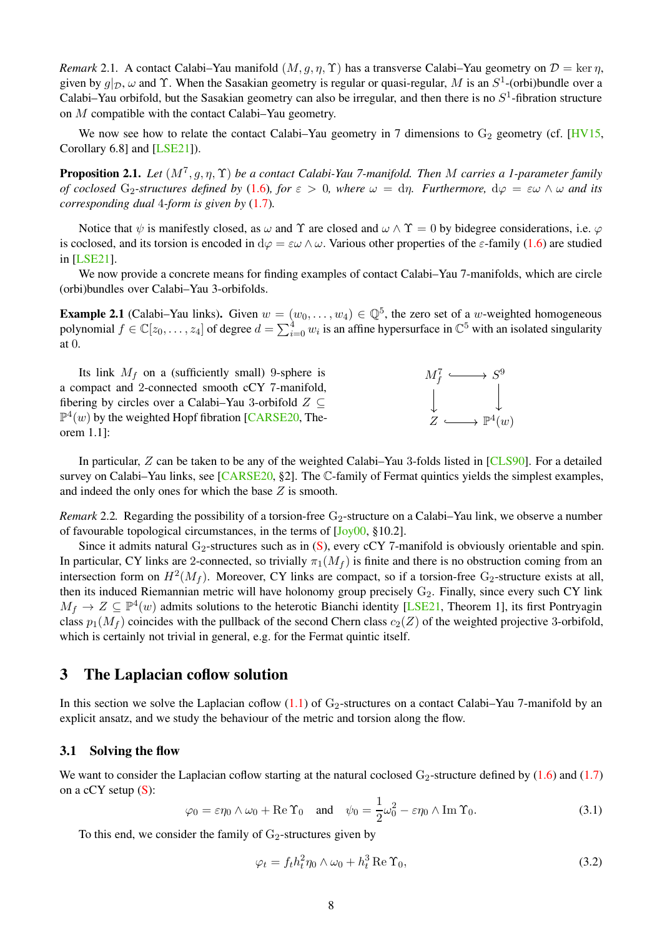<span id="page-7-6"></span>*Remark* 2.1. A contact Calabi–Yau manifold  $(M, g, \eta, \Upsilon)$  has a transverse Calabi–Yau geometry on  $\mathcal{D} = \ker \eta$ , given by  $g|_{\mathcal{D}}$ ,  $\omega$  and  $\Upsilon$ . When the Sasakian geometry is regular or quasi-regular, M is an  $S^1$ -(orbi)bundle over a Calabi–Yau orbifold, but the Sasakian geometry can also be irregular, and then there is no  $S<sup>1</sup>$ -fibration structure on M compatible with the contact Calabi–Yau geometry.

We now see how to relate the contact Calabi–Yau geometry in 7 dimensions to  $G_2$  geometry (cf. [\[HV15,](#page-18-20) Corollary 6.8] and [\[LSE21\]](#page-18-22)).

Proposition 2.1. *Let* (M<sup>7</sup> , g, η, Υ) *be a contact Calabi-Yau 7-manifold. Then* M *carries a 1-parameter family of coclosed* G<sub>2</sub>-structures defined by [\(1.6\)](#page-3-2), for  $\varepsilon > 0$ , where  $\omega = d\eta$ . Furthermore,  $d\varphi = \varepsilon \omega \wedge \omega$  and its *corresponding dual* 4*-form is given by* [\(1.7\)](#page-3-3)*.*

Notice that  $\psi$  is manifestly closed, as  $\omega$  and  $\Upsilon$  are closed and  $\omega \wedge \Upsilon = 0$  by bidegree considerations, i.e.  $\varphi$ is coclosed, and its torsion is encoded in  $d\varphi = \varepsilon \omega \wedge \omega$ . Various other properties of the  $\varepsilon$ -family [\(1.6\)](#page-3-2) are studied in [\[LSE21\]](#page-18-22).

We now provide a concrete means for finding examples of contact Calabi–Yau 7-manifolds, which are circle (orbi)bundles over Calabi–Yau 3-orbifolds.

<span id="page-7-2"></span>**Example 2.1** (Calabi–Yau links). Given  $w = (w_0, \ldots, w_4) \in \mathbb{Q}^5$ , the zero set of a w-weighted homogeneous polynomial  $f \in \mathbb{C}[z_0,\ldots,z_4]$  of degree  $d=\sum_{i=0}^4 w_i$  is an affine hypersurface in  $\mathbb{C}^5$  with an isolated singularity at 0.

Its link  $M_f$  on a (sufficiently small) 9-sphere is a compact and 2-connected smooth cCY 7-manifold, fibering by circles over a Calabi–Yau 3-orbifold  $Z \subseteq$  $\mathbb{P}^4(w)$  by the weighted Hopf fibration [\[CARSE20,](#page-18-21) Theorem 1.1]:



In particular, Z can be taken to be any of the weighted Calabi–Yau 3-folds listed in [\[CLS90\]](#page-18-16). For a detailed survey on Calabi–Yau links, see [\[CARSE20,](#page-18-21) §2]. The C-family of Fermat quintics yields the simplest examples, and indeed the only ones for which the base  $Z$  is smooth.

<span id="page-7-3"></span>*Remark* 2.2. Regarding the possibility of a torsion-free  $G_2$ -structure on a Calabi–Yau link, we observe a number of favourable topological circumstances, in the terms of [\[Joy00,](#page-18-23) §10.2].

Since it admits natural  $G_2$ -structures such as in [\(S\)](#page-3-4), every cCY 7-manifold is obviously orientable and spin. In particular, CY links are 2-connected, so trivially  $\pi_1(M_f)$  is finite and there is no obstruction coming from an intersection form on  $H^2(M_f)$ . Moreover, CY links are compact, so if a torsion-free  $G_2$ -structure exists at all, then its induced Riemannian metric will have holonomy group precisely  $G_2$ . Finally, since every such CY link  $M_f \to Z \subseteq \mathbb{P}^4(w)$  admits solutions to the heterotic Bianchi identity [\[LSE21,](#page-18-22) Theorem 1], its first Pontryagin class  $p_1(M_f)$  coincides with the pullback of the second Chern class  $c_2(Z)$  of the weighted projective 3-orbifold, which is certainly not trivial in general, e.g. for the Fermat quintic itself.

# <span id="page-7-0"></span>3 The Laplacian coflow solution

In this section we solve the Laplacian coflow  $(1.1)$  of  $G_2$ -structures on a contact Calabi–Yau 7-manifold by an explicit ansatz, and we study the behaviour of the metric and torsion along the flow.

### <span id="page-7-1"></span>3.1 Solving the flow

We want to consider the Laplacian coflow starting at the natural coclosed  $G_2$ -structure defined by [\(1.6\)](#page-3-2) and [\(1.7\)](#page-3-3) on a cCY setup [\(S\)](#page-3-4):

<span id="page-7-5"></span>
$$
\varphi_0 = \varepsilon \eta_0 \wedge \omega_0 + \text{Re} \, \Upsilon_0 \quad \text{and} \quad \psi_0 = \frac{1}{2} \omega_0^2 - \varepsilon \eta_0 \wedge \text{Im} \, \Upsilon_0. \tag{3.1}
$$

To this end, we consider the family of  $G_2$ -structures given by

<span id="page-7-4"></span>
$$
\varphi_t = f_t h_t^2 \eta_0 \wedge \omega_0 + h_t^3 \operatorname{Re} \Upsilon_0,\tag{3.2}
$$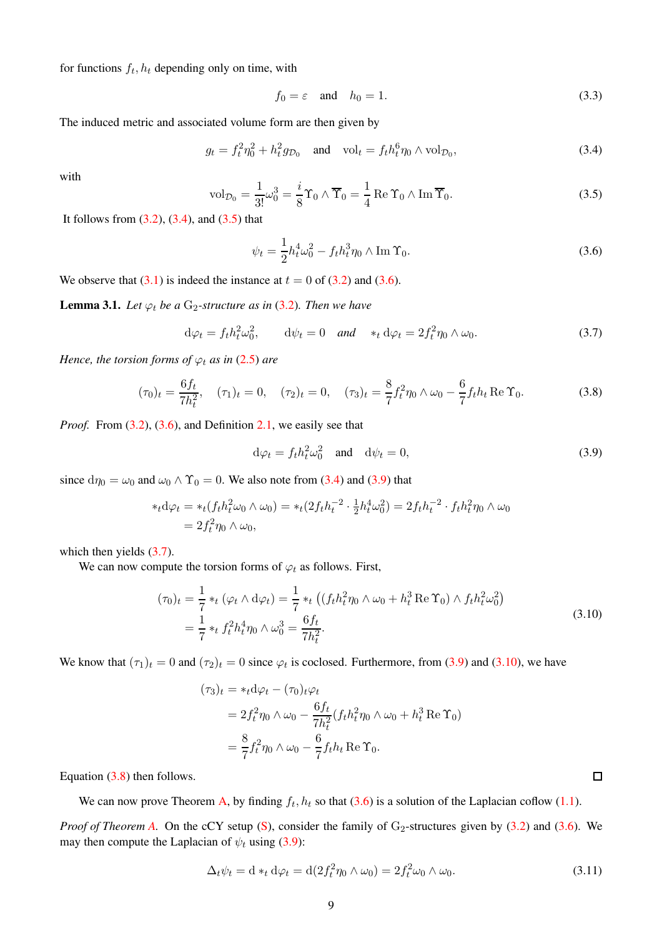for functions  $f_t$ ,  $h_t$  depending only on time, with

<span id="page-8-8"></span>
$$
f_0 = \varepsilon \quad \text{and} \quad h_0 = 1. \tag{3.3}
$$

The induced metric and associated volume form are then given by

<span id="page-8-0"></span>
$$
g_t = f_t^2 \eta_0^2 + h_t^2 g_{\mathcal{D}_0} \quad \text{and} \quad \text{vol}_t = f_t h_t^6 \eta_0 \wedge \text{vol}_{\mathcal{D}_0},\tag{3.4}
$$

with

<span id="page-8-1"></span>
$$
\text{vol}_{\mathcal{D}_0} = \frac{1}{3!} \omega_0^3 = \frac{i}{8} \Upsilon_0 \wedge \overline{\Upsilon}_0 = \frac{1}{4} \text{Re } \Upsilon_0 \wedge \text{Im } \overline{\Upsilon}_0.
$$
 (3.5)

It follows from  $(3.2)$ ,  $(3.4)$ , and  $(3.5)$  that

<span id="page-8-2"></span>
$$
\psi_t = \frac{1}{2} h_t^4 \omega_0^2 - f_t h_t^3 \eta_0 \wedge \text{Im } \Upsilon_0.
$$
\n(3.6)

We observe that  $(3.1)$  is indeed the instance at  $t = 0$  of  $(3.2)$  and  $(3.6)$ .

<span id="page-8-9"></span>**Lemma 3.1.** *Let*  $\varphi_t$  *be a* G<sub>2</sub>-structure as in [\(3.2\)](#page-7-4). Then we have

<span id="page-8-4"></span>
$$
d\varphi_t = f_t h_t^2 \omega_0^2, \qquad d\psi_t = 0 \quad \text{and} \quad *_t d\varphi_t = 2f_t^2 \eta_0 \wedge \omega_0. \tag{3.7}
$$

*Hence, the torsion forms of*  $\varphi_t$  *as in* [\(2.5\)](#page-6-3) *are* 

<span id="page-8-6"></span>
$$
(\tau_0)_t = \frac{6f_t}{7h_t^2}, \quad (\tau_1)_t = 0, \quad (\tau_2)_t = 0, \quad (\tau_3)_t = \frac{8}{7}f_t^2\eta_0 \wedge \omega_0 - \frac{6}{7}f_t h_t \operatorname{Re} \Upsilon_0. \tag{3.8}
$$

*Proof.* From  $(3.2)$ ,  $(3.6)$ , and Definition [2.1,](#page-6-4) we easily see that

<span id="page-8-3"></span>
$$
d\varphi_t = f_t h_t^2 \omega_0^2 \quad \text{and} \quad d\psi_t = 0,
$$
\n(3.9)

since  $d\eta_0 = \omega_0$  and  $\omega_0 \wedge \Upsilon_0 = 0$ . We also note from [\(3.4\)](#page-8-0) and [\(3.9\)](#page-8-3) that

$$
\ast_t d\varphi_t = \ast_t (f_t h_t^2 \omega_0 \wedge \omega_0) = \ast_t (2f_t h_t^{-2} \cdot \frac{1}{2} h_t^4 \omega_0^2) = 2f_t h_t^{-2} \cdot f_t h_t^2 \eta_0 \wedge \omega_0
$$
  
=  $2f_t^2 \eta_0 \wedge \omega_0$ ,

which then yields  $(3.7)$ .

We can now compute the torsion forms of  $\varphi_t$  as follows. First,

$$
(\tau_0)_t = \frac{1}{7} *_{t} (\varphi_t \wedge d\varphi_t) = \frac{1}{7} *_{t} ((f_t h_t^2 \eta_0 \wedge \omega_0 + h_t^3 \operatorname{Re} \Upsilon_0) \wedge f_t h_t^2 \omega_0^2)
$$
  
=  $\frac{1}{7} *_{t} f_t^2 h_t^4 \eta_0 \wedge \omega_0^3 = \frac{6f_t}{7h_t^2}.$  (3.10)

<span id="page-8-5"></span>We know that  $(\tau_1)_t = 0$  and  $(\tau_2)_t = 0$  since  $\varphi_t$  is coclosed. Furthermore, from [\(3.9\)](#page-8-3) and [\(3.10\)](#page-8-5), we have

$$
(\tau_3)_t = *_t \mathrm{d}\varphi_t - (\tau_0)_t \varphi_t
$$
  
=  $2f_t^2 \eta_0 \wedge \omega_0 - \frac{6f_t}{7h_t^2} (f_t h_t^2 \eta_0 \wedge \omega_0 + h_t^3 \operatorname{Re} \Upsilon_0)$   
=  $\frac{8}{7} f_t^2 \eta_0 \wedge \omega_0 - \frac{6}{7} f_t h_t \operatorname{Re} \Upsilon_0.$ 

Equation [\(3.8\)](#page-8-6) then follows.

We can now prove Theorem [A,](#page-3-1) by finding  $f_t, h_t$  so that [\(3.6\)](#page-8-2) is a solution of the Laplacian coflow [\(1.1\)](#page-1-4).

<span id="page-8-7"></span>*Proof of Theorem [A.](#page-3-1)* On the cCY setup  $(S)$ , consider the family of  $G_2$ -structures given by  $(3.2)$  and  $(3.6)$ . We may then compute the Laplacian of  $\psi_t$  using [\(3.9\)](#page-8-3):

$$
\Delta_t \psi_t = \mathrm{d} *_t \mathrm{d} \varphi_t = \mathrm{d} (2f_t^2 \eta_0 \wedge \omega_0) = 2f_t^2 \omega_0 \wedge \omega_0. \tag{3.11}
$$

 $\Box$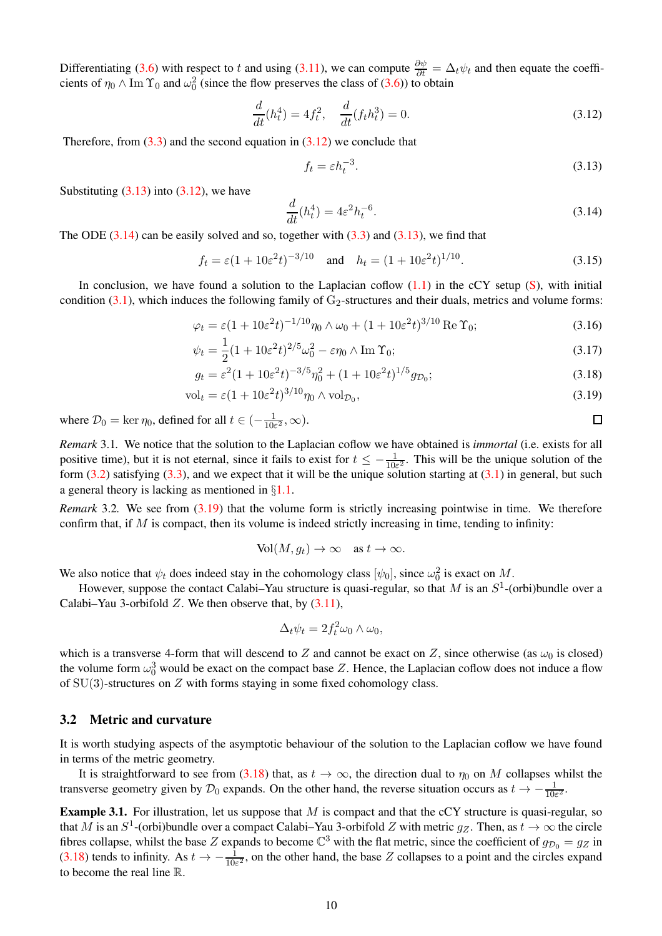Differentiating [\(3.6\)](#page-8-2) with respect to t and using [\(3.11\)](#page-8-7), we can compute  $\frac{\partial \psi}{\partial t} = \Delta_t \psi_t$  and then equate the coefficients of  $\eta_0 \wedge \text{Im } \Upsilon_0$  and  $\omega_0^2$  (since the flow preserves the class of [\(3.6\)](#page-8-2)) to obtain

<span id="page-9-1"></span>
$$
\frac{d}{dt}(h_t^4) = 4f_t^2, \quad \frac{d}{dt}(f_t h_t^3) = 0.
$$
\n(3.12)

Therefore, from  $(3.3)$  and the second equation in  $(3.12)$  we conclude that

<span id="page-9-2"></span>
$$
f_t = \varepsilon h_t^{-3}.\tag{3.13}
$$

<span id="page-9-7"></span><span id="page-9-6"></span><span id="page-9-5"></span><span id="page-9-4"></span> $\Box$ 

Substituting  $(3.13)$  into  $(3.12)$ , we have

<span id="page-9-3"></span>
$$
\frac{d}{dt}(h_t^4) = 4\varepsilon^2 h_t^{-6}.\tag{3.14}
$$

The ODE  $(3.14)$  can be easily solved and so, together with  $(3.3)$  and  $(3.13)$ , we find that

$$
f_t = \varepsilon (1 + 10\varepsilon^2 t)^{-3/10}
$$
 and  $h_t = (1 + 10\varepsilon^2 t)^{1/10}$ . (3.15)

In conclusion, we have found a solution to the Laplacian coflow  $(1.1)$  in the cCY setup [\(S\)](#page-3-4), with initial condition  $(3.1)$ , which induces the following family of  $G_2$ -structures and their duals, metrics and volume forms:

$$
\varphi_t = \varepsilon (1 + 10\varepsilon^2 t)^{-1/10} \eta_0 \wedge \omega_0 + (1 + 10\varepsilon^2 t)^{3/10} \operatorname{Re} \Upsilon_0; \tag{3.16}
$$

$$
\psi_t = \frac{1}{2}(1 + 10\varepsilon^2 t)^{2/5}\omega_0^2 - \varepsilon \eta_0 \wedge \operatorname{Im} \Upsilon_0; \tag{3.17}
$$

$$
g_t = \varepsilon^2 (1 + 10\varepsilon^2 t)^{-3/5} \eta_0^2 + (1 + 10\varepsilon^2 t)^{1/5} g_{\mathcal{D}_0};
$$
\n(3.18)

$$
\text{vol}_t = \varepsilon (1 + 10\varepsilon^2 t)^{3/10} \eta_0 \wedge \text{vol}_{\mathcal{D}_0},\tag{3.19}
$$

where  $\mathcal{D}_0 = \ker \eta_0$ , defined for all  $t \in \left(-\frac{1}{10\varepsilon^2}, \infty\right)$ .

*Remark* 3.1*.* We notice that the solution to the Laplacian coflow we have obtained is *immortal* (i.e. exists for all positive time), but it is not eternal, since it fails to exist for  $t \le -\frac{1}{10\varepsilon^2}$ . This will be the unique solution of the form  $(3.2)$  satisfying  $(3.3)$ , and we expect that it will be the unique solution starting at  $(3.1)$  in general, but such a general theory is lacking as mentioned in §[1.1.](#page-1-1)

*Remark* 3.2*.* We see from [\(3.19\)](#page-9-4) that the volume form is strictly increasing pointwise in time. We therefore confirm that, if  $M$  is compact, then its volume is indeed strictly increasing in time, tending to infinity:

$$
\text{Vol}(M, g_t) \to \infty \quad \text{as } t \to \infty.
$$

We also notice that  $\psi_t$  does indeed stay in the cohomology class  $[\psi_0]$ , since  $\omega_0^2$  is exact on M.

However, suppose the contact Calabi–Yau structure is quasi-regular, so that M is an  $S^1$ -(orbi)bundle over a Calabi–Yau 3-orbifold  $Z$ . We then observe that, by  $(3.11)$ ,

$$
\Delta_t \psi_t = 2f_t^2 \omega_0 \wedge \omega_0,
$$

which is a transverse 4-form that will descend to Z and cannot be exact on Z, since otherwise (as  $\omega_0$  is closed) the volume form  $\omega_0^3$  would be exact on the compact base Z. Hence, the Laplacian coflow does not induce a flow of  $SU(3)$ -structures on Z with forms staying in some fixed cohomology class.

#### <span id="page-9-0"></span>3.2 Metric and curvature

It is worth studying aspects of the asymptotic behaviour of the solution to the Laplacian coflow we have found in terms of the metric geometry.

It is straightforward to see from [\(3.18\)](#page-9-5) that, as  $t \to \infty$ , the direction dual to  $\eta_0$  on M collapses whilst the transverse geometry given by  $\mathcal{D}_0$  expands. On the other hand, the reverse situation occurs as  $t \to -\frac{1}{10\varepsilon^2}$ .

**Example 3.1.** For illustration, let us suppose that  $M$  is compact and that the cCY structure is quasi-regular, so that M is an  $S^1$ -(orbi)bundle over a compact Calabi–Yau 3-orbifold Z with metric  $g_Z$ . Then, as  $t \to \infty$  the circle fibres collapse, whilst the base Z expands to become  $\mathbb{C}^3$  with the flat metric, since the coefficient of  $g_{\mathcal{D}_0} = g_Z$  in [\(3.18\)](#page-9-5) tends to infinity. As  $t \to -\frac{1}{10\varepsilon^2}$ , on the other hand, the base Z collapses to a point and the circles expand to become the real line R.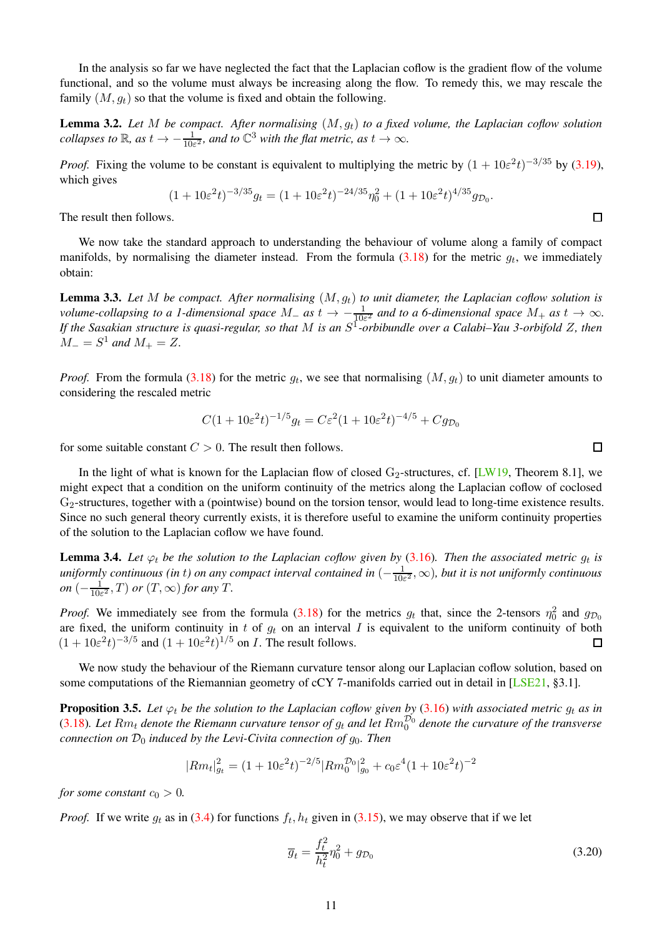<span id="page-10-3"></span>In the analysis so far we have neglected the fact that the Laplacian coflow is the gradient flow of the volume functional, and so the volume must always be increasing along the flow. To remedy this, we may rescale the family  $(M, g_t)$  so that the volume is fixed and obtain the following.

<span id="page-10-1"></span>**Lemma 3.2.** Let M be compact. After normalising  $(M, g_t)$  to a fixed volume, the Laplacian coflow solution *collapses to*  $\mathbb{R}$ *, as*  $t \to -\frac{1}{10\varepsilon^2}$ *, and to*  $\mathbb{C}^3$  *with the flat metric, as*  $t \to \infty$ *.* 

*Proof.* Fixing the volume to be constant is equivalent to multiplying the metric by  $(1 + 10\varepsilon^2 t)^{-3/35}$  by [\(3.19\)](#page-9-4), which gives

$$
(1+10\varepsilon^2 t)^{-3/35} g_t = (1+10\varepsilon^2 t)^{-24/35} \eta_0^2 + (1+10\varepsilon^2 t)^{4/35} g_{\mathcal{D}_0}.
$$

The result then follows.

We now take the standard approach to understanding the behaviour of volume along a family of compact manifolds, by normalising the diameter instead. From the formula  $(3.18)$  for the metric  $g_t$ , we immediately obtain:

<span id="page-10-2"></span>Lemma 3.3. *Let* M *be compact. After normalising* (M, gt) *to unit diameter, the Laplacian coflow solution is volume-collapsing to a 1-dimensional space*  $M_+$  *as*  $t \to -\frac{1}{10\varepsilon^2}$  *and to a 6-dimensional space*  $M_+$  *as*  $t \to \infty$ *. If the Sasakian structure is quasi-regular, so that* M *is an* S 1 *-orbibundle over a Calabi–Yau 3-orbifold* Z*, then*  $M_{-} = S^{1}$  and  $M_{+} = Z$ .

*Proof.* From the formula [\(3.18\)](#page-9-5) for the metric  $g_t$ , we see that normalising  $(M, g_t)$  to unit diameter amounts to considering the rescaled metric

$$
C(1+10\varepsilon^{2}t)^{-1/5}g_{t} = C\varepsilon^{2}(1+10\varepsilon^{2}t)^{-4/5} + Cg_{\mathcal{D}_{0}}
$$

for some suitable constant  $C > 0$ . The result then follows.

In the light of what is known for the Laplacian flow of closed  $G_2$ -structures, cf. [\[LW19,](#page-19-0) Theorem 8.1], we might expect that a condition on the uniform continuity of the metrics along the Laplacian coflow of coclosed G2-structures, together with a (pointwise) bound on the torsion tensor, would lead to long-time existence results. Since no such general theory currently exists, it is therefore useful to examine the uniform continuity properties of the solution to the Laplacian coflow we have found.

**Lemma 3.4.** Let  $\varphi_t$  be the solution to the Laplacian coflow given by [\(3.16\)](#page-9-6). Then the associated metric  $g_t$  is *uniformly continuous (in* t*) on any compact interval contained in* (− 1  $\frac{1}{10\varepsilon^2}$ ,  $\infty$ )*, but it is not uniformly continuous on*  $\left(-\frac{1}{10}\right)$  $\frac{1}{10\varepsilon^2}$ , *T*) *or*  $(T, \infty)$  *for any T*.

*Proof.* We immediately see from the formula [\(3.18\)](#page-9-5) for the metrics  $g_t$  that, since the 2-tensors  $\eta_0^2$  and  $g_{\mathcal{D}_0}$ are fixed, the uniform continuity in t of  $g_t$  on an interval I is equivalent to the uniform continuity of both  $(1+10\varepsilon^2 t)^{-3/5}$  and  $(1+10\varepsilon^2 t)^{1/5}$  on *I*. The result follows.  $\Box$ 

We now study the behaviour of the Riemann curvature tensor along our Laplacian coflow solution, based on some computations of the Riemannian geometry of cCY 7-manifolds carried out in detail in [\[LSE21,](#page-18-22) §3.1].

<span id="page-10-0"></span>**Proposition 3.5.** Let  $\varphi_t$  be the solution to the Laplacian coflow given by [\(3.16\)](#page-9-6) with associated metric  $g_t$  as in [\(3.18\)](#page-9-5). Let  $Rm_t$  denote the Riemann curvature tensor of  $g_t$  and let  $Rm_0^{\mathcal{D}_0}$  denote the curvature of the transverse *connection on*  $\mathcal{D}_0$  *induced by the Levi-Civita connection of*  $g_0$ *. Then* 

$$
|Rm_t|_{g_t}^2 = (1 + 10\varepsilon^2 t)^{-2/5} |Rm_0^{\mathcal{D}_0}|_{g_0}^2 + c_0\varepsilon^4 (1 + 10\varepsilon^2 t)^{-2}
$$

*for some constant*  $c_0 > 0$ *.* 

*Proof.* If we write  $g_t$  as in [\(3.4\)](#page-8-0) for functions  $f_t$ ,  $h_t$  given in [\(3.15\)](#page-9-7), we may observe that if we let

$$
\overline{g}_t = \frac{f_t^2}{h_t^2} \eta_0^2 + g_{\mathcal{D}_0}
$$
\n(3.20)

 $\Box$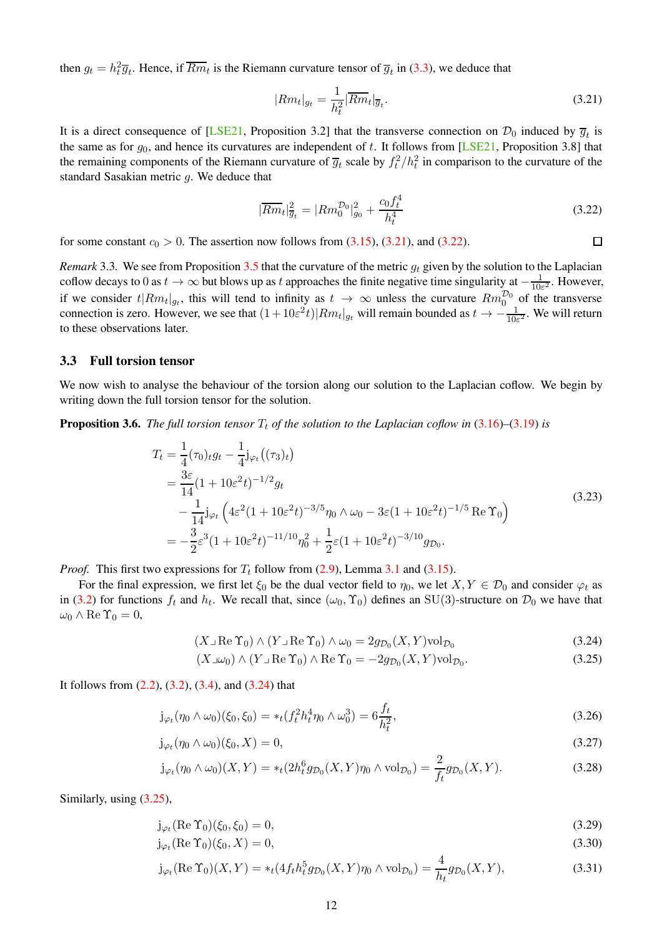<span id="page-11-11"></span>then  $g_t = h_t^2 \overline{g}_t$ . Hence, if  $\overline{Rm_t}$  is the Riemann curvature tensor of  $\overline{g}_t$  in [\(3.3\)](#page-12-0), we deduce that

<span id="page-11-1"></span>
$$
|Rm_t|_{g_t} = \frac{1}{h_t^2} |\overline{Rm_t}|_{\overline{g}_t}.
$$
\n(3.21)

It is a direct consequence of [\[LSE21,](#page-18-22) Proposition 3.2] that the transverse connection on  $\mathcal{D}_0$  induced by  $\overline{g}_t$  is the same as for  $g_0$ , and hence its curvatures are independent of t. It follows from [\[LSE21,](#page-18-22) Proposition 3.8] that the remaining components of the Riemann curvature of  $\overline{g}_t$  scale by  $f_t^2/h_t^2$  in comparison to the curvature of the standard Sasakian metric  $g$ . We deduce that

<span id="page-11-2"></span>
$$
|\overline{Rm}_t|_{\overline{g}_t}^2 = |Rm_0^{\mathcal{D}_0}|_{g_0}^2 + \frac{c_0 f_t^4}{h_t^4}
$$
\n(3.22)

 $\Box$ 

for some constant  $c_0 > 0$ . The assertion now follows from  $(3.15)$ ,  $(3.21)$ , and  $(3.22)$ .

*Remark* 3.3. We see from Proposition [3.5](#page-10-0) that the curvature of the metric  $g_t$  given by the solution to the Laplacian coflow decays to 0 as  $t \to \infty$  but blows up as t approaches the finite negative time singularity at  $-\frac{1}{100}$  $\frac{1}{10\varepsilon^2}$ . However, if we consider  $t | Rm_t |_{g_t}$ , this will tend to infinity as  $t \to \infty$  unless the curvature  $Rm_0^{\mathcal{D}_0}$  of the transverse connection is zero. However, we see that  $(1+10\varepsilon^2 t)|Rm_t|_{g_t}$  will remain bounded as  $t \to -\frac{1}{10\varepsilon^2}$ . We will return to these observations later.

#### <span id="page-11-0"></span>3.3 Full torsion tensor

We now wish to analyse the behaviour of the torsion along our solution to the Laplacian coflow. We begin by writing down the full torsion tensor for the solution.

<span id="page-11-8"></span><span id="page-11-7"></span>**Proposition 3.6.** *The full torsion tensor*  $T_t$  *of the solution to the Laplacian coflow in*  $(3.16)$ – $(3.19)$  *is* 

$$
T_{t} = \frac{1}{4}(\tau_{0})_{t}g_{t} - \frac{1}{4}\mathbf{j}_{\varphi_{t}}((\tau_{3})_{t})
$$
  
\n
$$
= \frac{3\varepsilon}{14}(1 + 10\varepsilon^{2}t)^{-1/2}g_{t}
$$
  
\n
$$
- \frac{1}{14}\mathbf{j}_{\varphi_{t}}\left(4\varepsilon^{2}(1 + 10\varepsilon^{2}t)^{-3/5}\eta_{0}\wedge\omega_{0} - 3\varepsilon(1 + 10\varepsilon^{2}t)^{-1/5}\operatorname{Re}\Upsilon_{0}\right)
$$
  
\n
$$
= -\frac{3}{2}\varepsilon^{3}(1 + 10\varepsilon^{2}t)^{-11/10}\eta_{0}^{2} + \frac{1}{2}\varepsilon(1 + 10\varepsilon^{2}t)^{-3/10}g_{\mathcal{D}_{0}}.
$$
\n(3.23)

*Proof.* This first two expressions for  $T_t$  follow from [\(2.9\)](#page-6-5), Lemma [3.1](#page-8-9) and [\(3.15\)](#page-9-7).

For the final expression, we first let  $\xi_0$  be the dual vector field to  $\eta_0$ , we let  $X, Y \in \mathcal{D}_0$  and consider  $\varphi_t$  as in [\(3.2\)](#page-7-4) for functions  $f_t$  and  $h_t$ . We recall that, since  $(\omega_0, \Upsilon_0)$  defines an SU(3)-structure on  $\mathcal{D}_0$  we have that  $\omega_0 \wedge \text{Re } \Upsilon_0 = 0,$ 

$$
(X \cup \text{Re } \Upsilon_0) \wedge (Y \cup \text{Re } \Upsilon_0) \wedge \omega_0 = 2g_{\mathcal{D}_0}(X, Y) \text{vol}_{\mathcal{D}_0}
$$
\n(3.24)

<span id="page-11-10"></span><span id="page-11-9"></span><span id="page-11-5"></span><span id="page-11-4"></span><span id="page-11-3"></span>
$$
(X \lrcorner \omega_0) \wedge (Y \lrcorner \operatorname{Re} \Upsilon_0) \wedge \operatorname{Re} \Upsilon_0 = -2g_{\mathcal{D}_0}(X, Y) \text{vol}_{\mathcal{D}_0}.
$$
\n(3.25)

It follows from  $(2.2)$ ,  $(3.2)$ ,  $(3.4)$ , and  $(3.24)$  that

$$
j_{\varphi_t}(\eta_0 \wedge \omega_0)(\xi_0, \xi_0) = *_{t}(f_t^2 h_t^4 \eta_0 \wedge \omega_0^3) = 6 \frac{f_t}{h_t^2},
$$
\n(3.26)

$$
j_{\varphi_t}(\eta_0 \wedge \omega_0)(\xi_0, X) = 0,\tag{3.27}
$$

$$
j_{\varphi_t}(\eta_0 \wedge \omega_0)(X, Y) = *_t (2h_t^6 g_{\mathcal{D}_0}(X, Y)\eta_0 \wedge \text{vol}_{\mathcal{D}_0}) = \frac{2}{f_t} g_{\mathcal{D}_0}(X, Y).
$$
 (3.28)

Similarly, using [\(3.25\)](#page-11-4),

$$
j_{\varphi_t}(\operatorname{Re}\Upsilon_0)(\xi_0,\xi_0)=0,\tag{3.29}
$$

<span id="page-11-6"></span>
$$
j_{\varphi_t}(\operatorname{Re}\Upsilon_0)(\xi_0, X) = 0,\tag{3.30}
$$

$$
j_{\varphi_t}(\text{Re }\Upsilon_0)(X,Y) = *_{t}(4f_{t}h_{t}^{5}g_{\mathcal{D}_0}(X,Y)\eta_0 \wedge \text{vol}_{\mathcal{D}_0}) = \frac{4}{h_{t}}g_{\mathcal{D}_0}(X,Y),
$$
\n(3.31)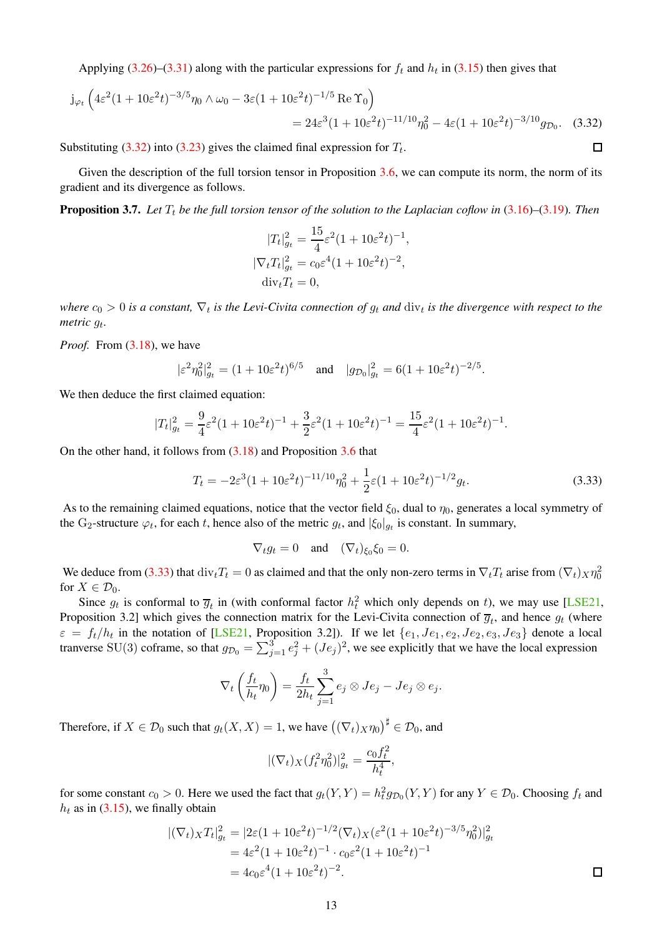<span id="page-12-3"></span>Applying [\(3.26\)](#page-11-5)–[\(3.31\)](#page-11-6) along with the particular expressions for  $f_t$  and  $h_t$  in [\(3.15\)](#page-9-7) then gives that

$$
j_{\varphi_t} \left( 4\varepsilon^2 (1 + 10\varepsilon^2 t)^{-3/5} \eta_0 \wedge \omega_0 - 3\varepsilon (1 + 10\varepsilon^2 t)^{-1/5} \operatorname{Re} \Upsilon_0 \right) = 24\varepsilon^3 (1 + 10\varepsilon^2 t)^{-11/10} \eta_0^2 - 4\varepsilon (1 + 10\varepsilon^2 t)^{-3/10} g_{\mathcal{D}_0}.
$$
 (3.32)

Substituting [\(3.32\)](#page-12-1) into [\(3.23\)](#page-11-7) gives the claimed final expression for  $T_t$ .

Given the description of the full torsion tensor in Proposition [3.6,](#page-11-8) we can compute its norm, the norm of its gradient and its divergence as follows.

<span id="page-12-2"></span>**Proposition 3.7.** Let  $T_t$  be the full torsion tensor of the solution to the Laplacian coflow in  $(3.16)$ – $(3.19)$ . Then

$$
|T_t|_{g_t}^2 = \frac{15}{4}\varepsilon^2 (1 + 10\varepsilon^2 t)^{-1},
$$
  
\n
$$
|\nabla_t T_t|_{g_t}^2 = c_0 \varepsilon^4 (1 + 10\varepsilon^2 t)^{-2},
$$
  
\n
$$
\text{div}_t T_t = 0,
$$

where  $c_0 > 0$  is a constant,  $\nabla_t$  is the Levi-Civita connection of  $g_t$  and  $\dim_t$  is the divergence with respect to the *metric* g<sup>t</sup> *.*

*Proof.* From  $(3.18)$ , we have

$$
|\varepsilon^2 \eta_0^2|_{g_t}^2 = (1 + 10\varepsilon^2 t)^{6/5}
$$
 and  $|g_{\mathcal{D}_0}|_{g_t}^2 = 6(1 + 10\varepsilon^2 t)^{-2/5}$ .

We then deduce the first claimed equation:

$$
|T_t|_{g_t}^2 = \frac{9}{4}\varepsilon^2(1+10\varepsilon^2 t)^{-1} + \frac{3}{2}\varepsilon^2(1+10\varepsilon^2 t)^{-1} = \frac{15}{4}\varepsilon^2(1+10\varepsilon^2 t)^{-1}.
$$

On the other hand, it follows from [\(3.18\)](#page-9-5) and Proposition [3.6](#page-11-8) that

<span id="page-12-0"></span>
$$
T_t = -2\varepsilon^3 (1 + 10\varepsilon^2 t)^{-11/10} \eta_0^2 + \frac{1}{2}\varepsilon (1 + 10\varepsilon^2 t)^{-1/2} g_t.
$$
 (3.33)

<span id="page-12-1"></span> $\Box$ 

As to the remaining claimed equations, notice that the vector field  $\xi_0$ , dual to  $\eta_0$ , generates a local symmetry of the G<sub>2</sub>-structure  $\varphi_t$ , for each t, hence also of the metric  $g_t$ , and  $|\xi_0|_{g_t}$  is constant. In summary,

$$
\nabla_t g_t = 0 \quad \text{and} \quad (\nabla_t)_{\xi_0} \xi_0 = 0.
$$

We deduce from [\(3.33\)](#page-12-0) that  $div_tT_t = 0$  as claimed and that the only non-zero terms in  $\nabla_tT_t$  arise from  $(\nabla_t)_X\eta_0^2$ for  $X \in \mathcal{D}_0$ .

Since  $g_t$  is conformal to  $\overline{g}_t$  in (with conformal factor  $h_t^2$  which only depends on t), we may use [\[LSE21,](#page-18-22) Proposition 3.2] which gives the connection matrix for the Levi-Civita connection of  $\overline{g}_t$ , and hence  $g_t$  (where  $\varepsilon = f_t/h_t$  in the notation of [\[LSE21,](#page-18-22) Proposition 3.2]). If we let  $\{e_1, Je_1, e_2, Je_2, e_3, Je_3\}$  denote a local tranverse SU(3) coframe, so that  $g_{\mathcal{D}_0} = \sum_{j=1}^3 e_j^2 + (Je_j)^2$ , we see explicitly that we have the local expression

$$
\nabla_t \left( \frac{f_t}{h_t} \eta_0 \right) = \frac{f_t}{2h_t} \sum_{j=1}^3 e_j \otimes Je_j - Je_j \otimes e_j.
$$

Therefore, if  $X \in \mathcal{D}_0$  such that  $g_t(X, X) = 1$ , we have  $((\nabla_t)_X \eta_0)^\sharp \in \mathcal{D}_0$ , and

$$
|(\nabla_t)_X(f_t^2 \eta_0^2)|_{g_t}^2 = \frac{c_0 f_t^2}{h_t^4},
$$

for some constant  $c_0 > 0$ . Here we used the fact that  $g_t(Y, Y) = h_t^2 g_{\mathcal{D}_0}(Y, Y)$  for any  $Y \in \mathcal{D}_0$ . Choosing  $f_t$  and  $h_t$  as in [\(3.15\)](#page-9-7), we finally obtain

$$
\begin{aligned} |(\nabla_t)_X T_t|_{g_t}^2 &= |2\varepsilon (1 + 10\varepsilon^2 t)^{-1/2} (\nabla_t)_X (\varepsilon^2 (1 + 10\varepsilon^2 t)^{-3/5} \eta_0^2)|_{g_t}^2 \\ &= 4\varepsilon^2 (1 + 10\varepsilon^2 t)^{-1} \cdot c_0 \varepsilon^2 (1 + 10\varepsilon^2 t)^{-1} \\ &= 4c_0 \varepsilon^4 (1 + 10\varepsilon^2 t)^{-2} . \end{aligned} \quad \Box
$$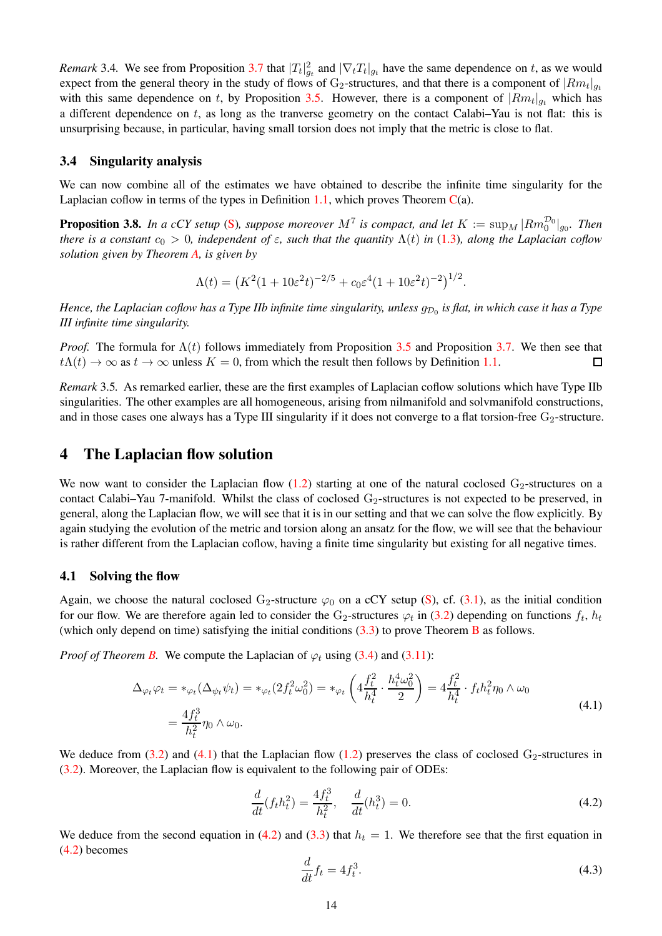*Remark* 3.4. We see from Proposition [3.7](#page-12-2) that  $|T_t|_{g_t}^2$  and  $|\nabla_t T_t|_{g_t}$  have the same dependence on t, as we would expect from the general theory in the study of flows of G<sub>2</sub>-structures, and that there is a component of  $|Rm_t|_{g_t}$ with this same dependence on t, by Proposition [3.5.](#page-10-0) However, there is a component of  $|Rm_t|_{g_t}$  which has a different dependence on t, as long as the tranverse geometry on the contact Calabi–Yau is not flat: this is unsurprising because, in particular, having small torsion does not imply that the metric is close to flat.

#### <span id="page-13-0"></span>3.4 Singularity analysis

We can now combine all of the estimates we have obtained to describe the infinite time singularity for the Laplacian coflow in terms of the types in Definition [1.1,](#page-2-5) which proves Theorem  $C(a)$  $C(a)$ .

**Proposition 3.8.** In a cCY setup [\(S\)](#page-3-4), suppose moreover  $M^7$  is compact, and let  $K := \sup_M |Rm_0^{\mathcal{D}_0}|_{g_0}$ . Then *there is a constant*  $c_0 > 0$ *, independent of*  $\varepsilon$ *, such that the quantity*  $\Lambda(t)$  *in* [\(1.3\)](#page-2-2)*, along the Laplacian coflow solution given by Theorem [A,](#page-3-1) is given by*

$$
\Lambda(t) = (K^2(1+10\varepsilon^2 t)^{-2/5} + c_0\varepsilon^4 (1+10\varepsilon^2 t)^{-2})^{1/2}.
$$

Hence, the Laplacian coflow has a Type IIb infinite time singularity, unless  $g_{{\cal D}_0}$  is flat, in which case it has a Type *III infinite time singularity.*

*Proof.* The formula for  $\Lambda(t)$  follows immediately from Proposition [3.5](#page-10-0) and Proposition [3.7.](#page-12-2) We then see that  $t\Lambda(t) \to \infty$  as  $t \to \infty$  unless  $K = 0$ , from which the result then follows by Definition [1.1.](#page-2-5)  $\Box$ 

*Remark* 3.5*.* As remarked earlier, these are the first examples of Laplacian coflow solutions which have Type IIb singularities. The other examples are all homogeneous, arising from nilmanifold and solvmanifold constructions, and in those cases one always has a Type III singularity if it does not converge to a flat torsion-free  $G_2$ -structure.

# <span id="page-13-1"></span>4 The Laplacian flow solution

We now want to consider the Laplacian flow  $(1.2)$  starting at one of the natural coclosed  $G_2$ -structures on a contact Calabi–Yau 7-manifold. Whilst the class of coclosed  $G_2$ -structures is not expected to be preserved, in general, along the Laplacian flow, we will see that it is in our setting and that we can solve the flow explicitly. By again studying the evolution of the metric and torsion along an ansatz for the flow, we will see that the behaviour is rather different from the Laplacian coflow, having a finite time singularity but existing for all negative times.

#### <span id="page-13-2"></span>4.1 Solving the flow

Again, we choose the natural coclosed G<sub>2</sub>-structure  $\varphi_0$  on a cCY setup [\(S\)](#page-3-4), cf. [\(3.1\)](#page-7-5), as the initial condition for our flow. We are therefore again led to consider the G<sub>2</sub>-structures  $\varphi_t$  in [\(3.2\)](#page-7-4) depending on functions  $f_t$ ,  $h_t$ (which only depend on time) satisfying the initial conditions  $(3.3)$  to prove Theorem [B](#page-4-0) as follows.

*Proof of Theorem [B.](#page-4-0)* We compute the Laplacian of  $\varphi_t$  using [\(3.4\)](#page-8-0) and [\(3.11\)](#page-8-7):

$$
\Delta_{\varphi_t} \varphi_t = *_{\varphi_t} (\Delta_{\psi_t} \psi_t) = *_{\varphi_t} (2f_t^2 \omega_0^2) = *_{\varphi_t} \left( 4 \frac{f_t^2}{h_t^4} \cdot \frac{h_t^4 \omega_0^2}{2} \right) = 4 \frac{f_t^2}{h_t^4} \cdot f_t h_t^2 \eta_0 \wedge \omega_0
$$
\n
$$
= \frac{4f_t^3}{h_t^2} \eta_0 \wedge \omega_0.
$$
\n(4.1)

<span id="page-13-3"></span>We deduce from  $(3.2)$  and  $(4.1)$  that the Laplacian flow  $(1.2)$  preserves the class of coclosed  $G_2$ -structures in [\(3.2\)](#page-7-4). Moreover, the Laplacian flow is equivalent to the following pair of ODEs:

<span id="page-13-4"></span>
$$
\frac{d}{dt}(f_t h_t^2) = \frac{4f_t^3}{h_t^2}, \quad \frac{d}{dt}(h_t^3) = 0.
$$
\n(4.2)

We deduce from the second equation in [\(4.2\)](#page-13-4) and [\(3.3\)](#page-8-8) that  $h_t = 1$ . We therefore see that the first equation in [\(4.2\)](#page-13-4) becomes

<span id="page-13-5"></span>
$$
\frac{d}{dt}f_t = 4f_t^3.
$$
\n(4.3)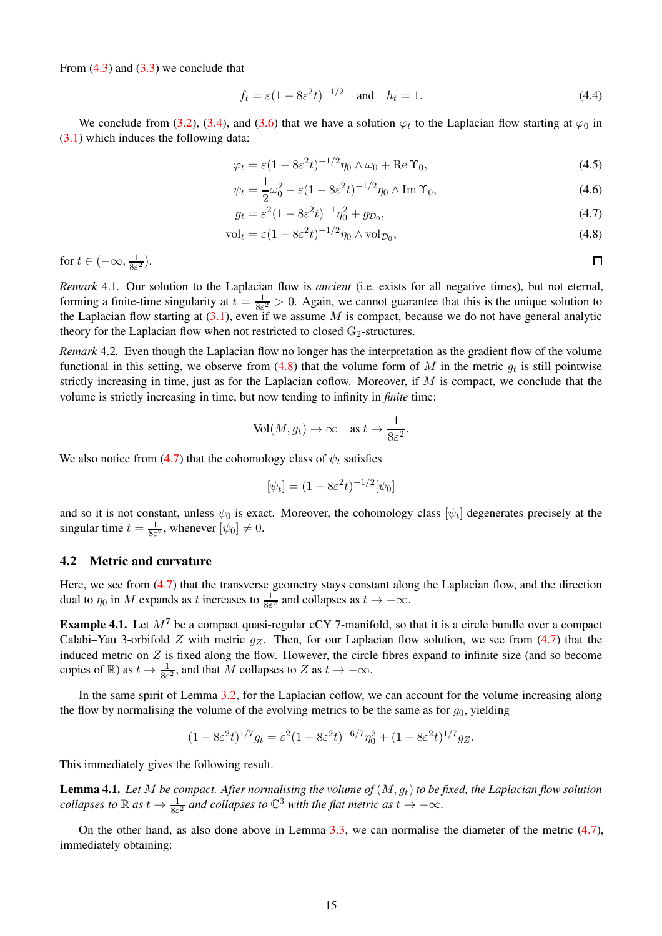From  $(4.3)$  and  $(3.3)$  we conclude that

<span id="page-14-4"></span>
$$
f_t = \varepsilon (1 - 8\varepsilon^2 t)^{-1/2}
$$
 and  $h_t = 1$ . (4.4)

We conclude from [\(3.2\)](#page-7-4), [\(3.4\)](#page-8-0), and [\(3.6\)](#page-8-2) that we have a solution  $\varphi_t$  to the Laplacian flow starting at  $\varphi_0$  in [\(3.1\)](#page-7-5) which induces the following data:

$$
\varphi_t = \varepsilon (1 - 8\varepsilon^2 t)^{-1/2} \eta_0 \wedge \omega_0 + \text{Re}\,\Upsilon_0,\tag{4.5}
$$

$$
\psi_t = \frac{1}{2}\omega_0^2 - \varepsilon (1 - 8\varepsilon^2 t)^{-1/2} \eta_0 \wedge \operatorname{Im} \Upsilon_0,\tag{4.6}
$$

$$
g_t = \varepsilon^2 (1 - 8\varepsilon^2 t)^{-1} \eta_0^2 + g_{\mathcal{D}_0},\tag{4.7}
$$

$$
\text{vol}_t = \varepsilon (1 - 8\varepsilon^2 t)^{-1/2} \eta_0 \wedge \text{vol}_{\mathcal{D}_0},\tag{4.8}
$$

for 
$$
t \in (-\infty, \frac{1}{8\varepsilon^2})
$$
.

*Remark* 4.1*.* Our solution to the Laplacian flow is *ancient* (i.e. exists for all negative times), but not eternal, forming a finite-time singularity at  $t = \frac{1}{8\varepsilon}$  $\frac{1}{8\varepsilon^2} > 0$ . Again, we cannot guarantee that this is the unique solution to the Laplacian flow starting at  $(3.1)$ , even if we assume M is compact, because we do not have general analytic theory for the Laplacian flow when not restricted to closed  $G_2$ -structures.

*Remark* 4.2*.* Even though the Laplacian flow no longer has the interpretation as the gradient flow of the volume functional in this setting, we observe from  $(4.8)$  that the volume form of M in the metric  $g_t$  is still pointwise strictly increasing in time, just as for the Laplacian coflow. Moreover, if M is compact, we conclude that the volume is strictly increasing in time, but now tending to infinity in *finite* time:

$$
\text{Vol}(M, g_t) \to \infty \quad \text{as } t \to \frac{1}{8\varepsilon^2}.
$$

We also notice from [\(4.7\)](#page-14-2) that the cohomology class of  $\psi_t$  satisfies

$$
[\psi_t] = (1 - 8\varepsilon^2 t)^{-1/2} [\psi_0]
$$

and so it is not constant, unless  $\psi_0$  is exact. Moreover, the cohomology class  $[\psi_t]$  degenerates precisely at the singular time  $t = \frac{1}{8\varepsilon}$  $\frac{1}{8\varepsilon^2}$ , whenever  $[\psi_0] \neq 0$ .

### <span id="page-14-0"></span>4.2 Metric and curvature

Here, we see from  $(4.7)$  that the transverse geometry stays constant along the Laplacian flow, and the direction dual to  $\eta_0$  in M expands as t increases to  $\frac{1}{8\varepsilon^2}$  and collapses as  $t \to -\infty$ .

**Example 4.1.** Let  $M^7$  be a compact quasi-regular cCY 7-manifold, so that it is a circle bundle over a compact Calabi–Yau 3-orbifold Z with metric  $g_Z$ . Then, for our Laplacian flow solution, we see from [\(4.7\)](#page-14-2) that the induced metric on  $Z$  is fixed along the flow. However, the circle fibres expand to infinite size (and so become copies of  $\mathbb{R}$ ) as  $t \to \frac{1}{8\varepsilon^2}$ , and that M collapses to Z as  $t \to -\infty$ .

In the same spirit of Lemma [3.2,](#page-10-1) for the Laplacian coflow, we can account for the volume increasing along the flow by normalising the volume of the evolving metrics to be the same as for  $g_0$ , yielding

$$
(1 - 8\varepsilon^2 t)^{1/7} g_t = \varepsilon^2 (1 - 8\varepsilon^2 t)^{-6/7} \eta_0^2 + (1 - 8\varepsilon^2 t)^{1/7} g_z.
$$

This immediately gives the following result.

Lemma 4.1. *Let* M *be compact. After normalising the volume of* (M, gt) *to be fixed, the Laplacian flow solution collapses to*  $\mathbb{R}$  *as*  $t \to \frac{1}{8\varepsilon^2}$  *and collapses to*  $\mathbb{C}^3$  *with the flat metric as*  $t \to -\infty$ *.* 

On the other hand, as also done above in Lemma [3.3,](#page-10-2) we can normalise the diameter of the metric [\(4.7\)](#page-14-2), immediately obtaining:

<span id="page-14-3"></span><span id="page-14-2"></span><span id="page-14-1"></span>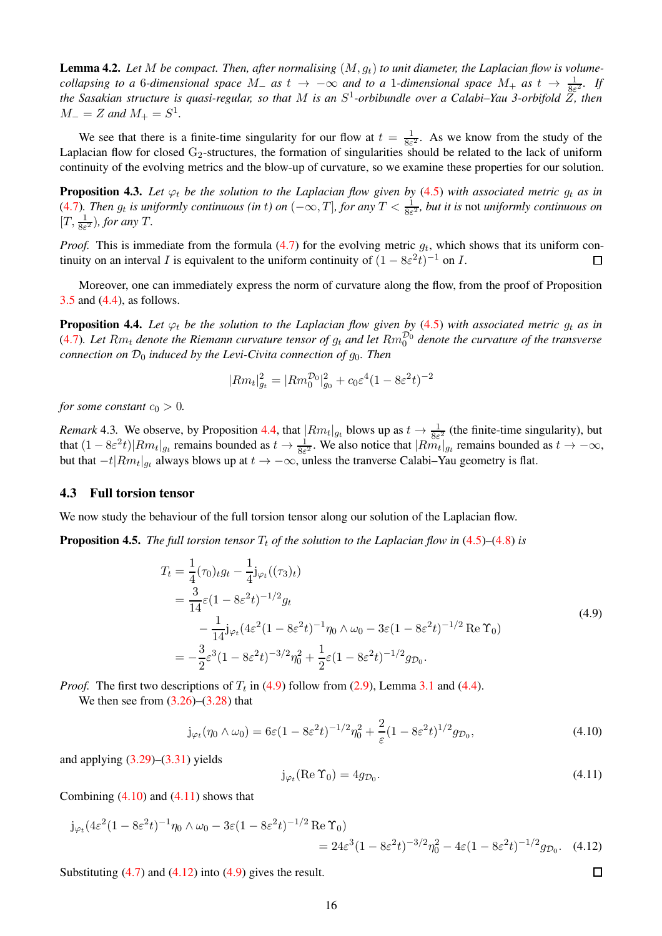**Lemma 4.2.** Let M be compact. Then, after normalising  $(M, g_t)$  to unit diameter, the Laplacian flow is volume*collapsing to a* 6*-dimensional space*  $M_$  *as*  $t \to -\infty$  *and to a* 1*-dimensional space*  $M_+$  *as*  $t \to \frac{1}{8\varepsilon^2}$ *. If the Sasakian structure is quasi-regular, so that* M *is an* S 1 *-orbibundle over a Calabi–Yau 3-orbifold* Z*, then*  $M_{-} = Z$  and  $M_{+} = S^{1}$ .

We see that there is a finite-time singularity for our flow at  $t = \frac{1}{8\varepsilon^2}$ . As we know from the study of the Laplacian flow for closed  $G_2$ -structures, the formation of singularities should be related to the lack of uniform continuity of the evolving metrics and the blow-up of curvature, so we examine these properties for our solution.

**Proposition 4.3.** Let  $\varphi_t$  be the solution to the Laplacian flow given by [\(4.5\)](#page-14-3) with associated metric  $g_t$  as in [\(4.7\)](#page-14-2). Then  $g_t$  is uniformly continuous (in t) on  $(-\infty,T]$ , for any  $T<\frac{1}{8\varepsilon^2}$ , but it is not uniformly continuous on  $[T, \frac{1}{8\varepsilon^2})$ *, for any T*.

*Proof.* This is immediate from the formula  $(4.7)$  for the evolving metric  $g_t$ , which shows that its uniform continuity on an interval I is equivalent to the uniform continuity of  $(1 - 8\varepsilon^2 t)^{-1}$  on I.  $\Box$ 

Moreover, one can immediately express the norm of curvature along the flow, from the proof of Proposition [3.5](#page-10-0) and [\(4.4\)](#page-14-4), as follows.

<span id="page-15-1"></span>**Proposition 4.4.** Let  $\varphi_t$  be the solution to the Laplacian flow given by [\(4.5\)](#page-14-3) with associated metric  $g_t$  as in  $(4.7)$ . Let  $Rm_t$  denote the Riemann curvature tensor of  $g_t$  and let  $Rm_0^{D_0}$  denote the curvature of the transverse *connection on*  $\mathcal{D}_0$  *induced by the Levi-Civita connection of*  $g_0$ *. Then* 

$$
|Rm_t|_{g_t}^2=|Rm_0^{\mathcal{D}_0}|_{g_0}^2+c_0\varepsilon^4(1-8\varepsilon^2t)^{-2}
$$

*for some constant*  $c_0 > 0$ *.* 

*Remark* 4.3. We observe, by Proposition [4.4,](#page-15-1) that  $|Rm_t|_{g_t}$  blows up as  $t \to \frac{1}{8\varepsilon^2}$  (the finite-time singularity), but that  $(1 - 8\varepsilon^2 t)|Rm_t|_{g_t}$  remains bounded as  $t \to \frac{1}{8\varepsilon^2}$ . We also notice that  $|Rm_t|_{g_t}$  remains bounded as  $t \to -\infty$ , but that  $-t|Rm_t|_{gt}$  always blows up at  $t \to -\infty$ , unless the tranverse Calabi–Yau geometry is flat.

## <span id="page-15-0"></span>4.3 Full torsion tensor

We now study the behaviour of the full torsion tensor along our solution of the Laplacian flow.

<span id="page-15-6"></span><span id="page-15-2"></span>**Proposition 4.5.** *The full torsion tensor*  $T_t$  *of the solution to the Laplacian flow in*  $(4.5)$ – $(4.8)$  *is* 

$$
T_t = \frac{1}{4}(\tau_0) t g_t - \frac{1}{4} j_{\varphi_t}((\tau_3)_t)
$$
  
\n
$$
= \frac{3}{14} \varepsilon (1 - 8\varepsilon^2 t)^{-1/2} g_t
$$
  
\n
$$
- \frac{1}{14} j_{\varphi_t} (4\varepsilon^2 (1 - 8\varepsilon^2 t)^{-1} \eta_0 \wedge \omega_0 - 3\varepsilon (1 - 8\varepsilon^2 t)^{-1/2} \operatorname{Re} \Upsilon_0)
$$
  
\n
$$
= -\frac{3}{2} \varepsilon^3 (1 - 8\varepsilon^2 t)^{-3/2} \eta_0^2 + \frac{1}{2} \varepsilon (1 - 8\varepsilon^2 t)^{-1/2} g_{\mathcal{D}_0}.
$$
\n(4.9)

*Proof.* The first two descriptions of  $T_t$  in [\(4.9\)](#page-15-2) follow from [\(2.9\)](#page-6-5), Lemma [3.1](#page-8-9) and [\(4.4\)](#page-14-4).

We then see from  $(3.26)$ – $(3.28)$  that

<span id="page-15-3"></span>
$$
j_{\varphi_t}(\eta_0 \wedge \omega_0) = 6\varepsilon (1 - 8\varepsilon^2 t)^{-1/2} \eta_0^2 + \frac{2}{\varepsilon} (1 - 8\varepsilon^2 t)^{1/2} g_{\mathcal{D}_0},\tag{4.10}
$$

and applying  $(3.29)$ – $(3.31)$  yields

<span id="page-15-4"></span>
$$
\mathbf{j}_{\varphi_t}(\text{Re}\,\Upsilon_0) = 4g_{\mathcal{D}_0}.\tag{4.11}
$$

<span id="page-15-5"></span> $\Box$ 

Combining  $(4.10)$  and  $(4.11)$  shows that

$$
j_{\varphi_t}(4\varepsilon^2 (1 - 8\varepsilon^2 t)^{-1} \eta_0 \wedge \omega_0 - 3\varepsilon (1 - 8\varepsilon^2 t)^{-1/2} \operatorname{Re} \Upsilon_0)
$$
  
=  $24\varepsilon^3 (1 - 8\varepsilon^2 t)^{-3/2} \eta_0^2 - 4\varepsilon (1 - 8\varepsilon^2 t)^{-1/2} g_{\mathcal{D}_0}.$  (4.12)

Substituting  $(4.7)$  and  $(4.12)$  into  $(4.9)$  gives the result.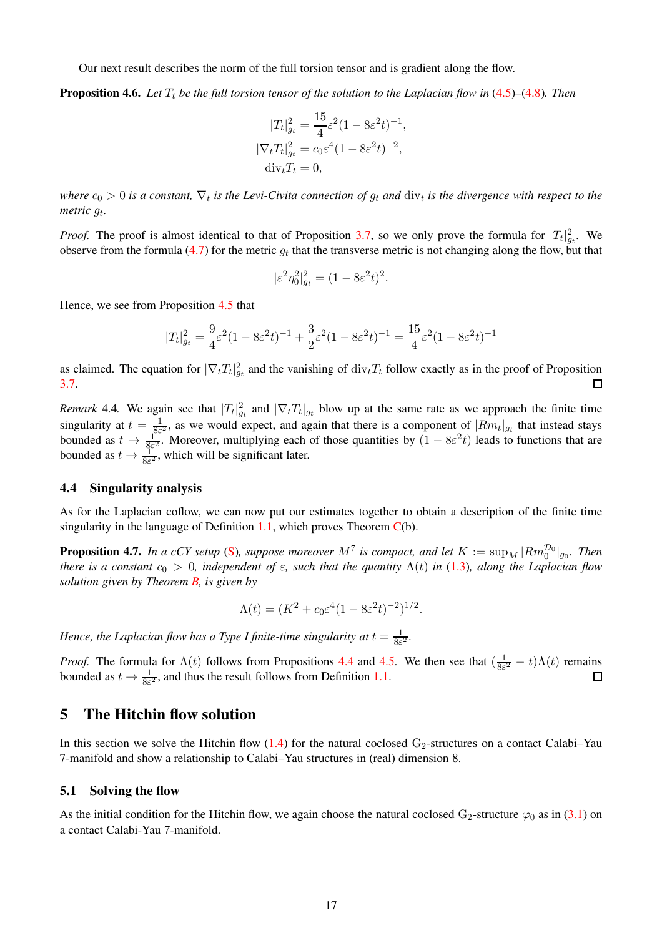Our next result describes the norm of the full torsion tensor and is gradient along the flow.

**Proposition 4.6.** Let  $T_t$  be the full torsion tensor of the solution to the Laplacian flow in  $(4.5)$ – $(4.8)$ *. Then* 

$$
|T_t|_{gt}^2 = \frac{15}{4}\varepsilon^2 (1 - 8\varepsilon^2 t)^{-1},
$$
  
\n
$$
|\nabla_t T_t|_{gt}^2 = c_0 \varepsilon^4 (1 - 8\varepsilon^2 t)^{-2},
$$
  
\n
$$
\text{div}_t T_t = 0,
$$

where  $c_0 > 0$  is a constant,  $\nabla_t$  is the Levi-Civita connection of  $g_t$  and  $\dim_t$  is the divergence with respect to the *metric* g<sup>t</sup> *.*

*Proof.* The proof is almost identical to that of Proposition [3.7,](#page-12-2) so we only prove the formula for  $|T_t|_{g_t}^2$ . We observe from the formula [\(4.7\)](#page-14-2) for the metric  $g_t$  that the transverse metric is not changing along the flow, but that

$$
|\varepsilon^2 \eta_0^2|_{g_t}^2 = (1 - 8\varepsilon^2 t)^2.
$$

Hence, we see from Proposition [4.5](#page-15-6) that

$$
|T_t|_{g_t}^2 = \frac{9}{4}\varepsilon^2 (1 - 8\varepsilon^2 t)^{-1} + \frac{3}{2}\varepsilon^2 (1 - 8\varepsilon^2 t)^{-1} = \frac{15}{4}\varepsilon^2 (1 - 8\varepsilon^2 t)^{-1}
$$

as claimed. The equation for  $|\nabla_t T_t|_{g_t}^2$  and the vanishing of  $\text{div}_t T_t$  follow exactly as in the proof of Proposition [3.7.](#page-12-2)  $\Box$ 

*Remark* 4.4. We again see that  $|T_t|_{g_t}^2$  and  $|\nabla_t T_t|_{g_t}$  blow up at the same rate as we approach the finite time singularity at  $t = \frac{1}{85}$  $\frac{1}{8\varepsilon^2}$ , as we would expect, and again that there is a component of  $|Rm_t|_{g_t}$  that instead stays bounded as  $t \to \frac{1}{8\varepsilon^2}$ . Moreover, multiplying each of those quantities by  $(1 - 8\varepsilon^2 t)$  leads to functions that are bounded as  $t \to \frac{1}{8\varepsilon^2}$ , which will be significant later.

#### <span id="page-16-0"></span>4.4 Singularity analysis

As for the Laplacian coflow, we can now put our estimates together to obtain a description of the finite time singularity in the language of Definition [1.1,](#page-2-5) which proves Theorem  $C(b)$  $C(b)$ .

**Proposition 4.7.** In a cCY setup [\(S\)](#page-3-4), suppose moreover  $M^7$  is compact, and let  $K := \sup_M |Rm_0^{\mathcal{D}_0}|_{g_0}$ . Then *there is a constant*  $c_0 > 0$ *, independent of*  $\varepsilon$ *, such that the quantity*  $\Lambda(t)$  *in* [\(1.3\)](#page-2-2)*, along the Laplacian flow solution given by Theorem [B,](#page-4-0) is given by*

$$
\Lambda(t) = (K^2 + c_0 \varepsilon^4 (1 - 8\varepsilon^2 t)^{-2})^{1/2}.
$$

*Hence, the Laplacian flow has a Type I finite-time singularity at*  $t = \frac{1}{85}$  $\frac{1}{8\varepsilon^2}$ .

*Proof.* The formula for  $\Lambda(t)$  follows from Propositions [4.4](#page-15-1) and [4.5.](#page-15-6) We then see that  $\left(\frac{1}{8\varepsilon}\right)$  $\frac{1}{8\varepsilon^2} - t\Delta(t)$  remains bounded as  $t \to \frac{1}{8\varepsilon^2}$ , and thus the result follows from Definition [1.1.](#page-2-5) П

# <span id="page-16-1"></span>5 The Hitchin flow solution

In this section we solve the Hitchin flow  $(1.4)$  for the natural coclosed G<sub>2</sub>-structures on a contact Calabi–Yau 7-manifold and show a relationship to Calabi–Yau structures in (real) dimension 8.

#### <span id="page-16-2"></span>5.1 Solving the flow

As the initial condition for the Hitchin flow, we again choose the natural coclosed G<sub>2</sub>-structure  $\varphi_0$  as in [\(3.1\)](#page-7-5) on a contact Calabi-Yau 7-manifold.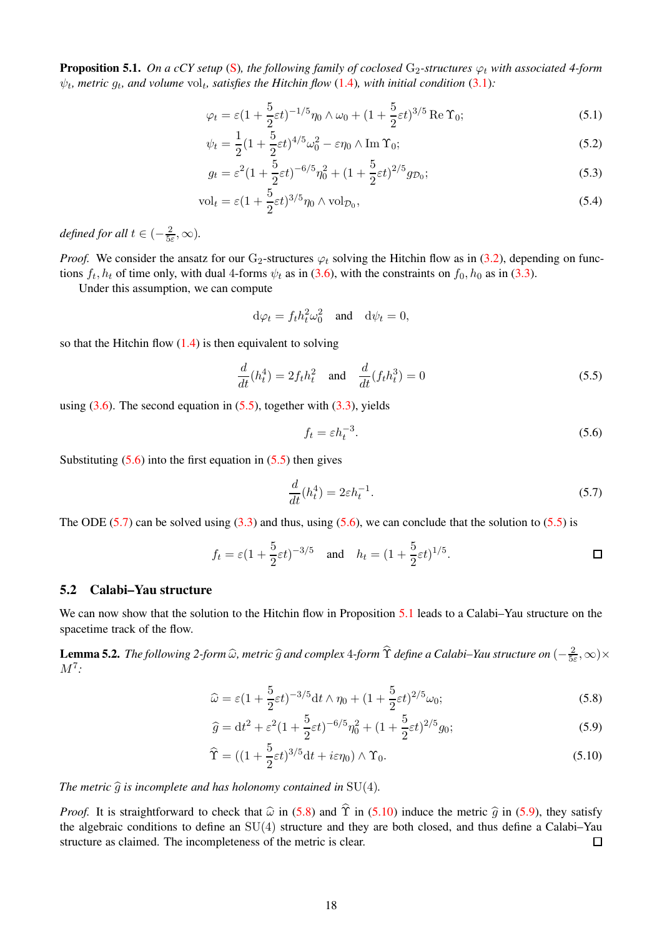<span id="page-17-4"></span>**Proposition 5.1.** *On a cCY setup* [\(S\)](#page-3-4), the following family of coclosed  $G_2$ -structures  $\varphi_t$  with associated 4-form  $\psi_t$ , metric  $g_t$ , and volume vol<sub>t</sub>, satisfies the Hitchin flow [\(1.4\)](#page-2-4), with initial condition [\(3.1\)](#page-7-5):

<span id="page-17-9"></span>
$$
\varphi_t = \varepsilon \left(1 + \frac{5}{2}\varepsilon t\right)^{-1/5} \eta_0 \wedge \omega_0 + \left(1 + \frac{5}{2}\varepsilon t\right)^{3/5} \operatorname{Re} \Upsilon_0; \tag{5.1}
$$

$$
\psi_t = \frac{1}{2}(1 + \frac{5}{2}\varepsilon t)^{4/5}\omega_0^2 - \varepsilon \eta_0 \wedge \operatorname{Im} \Upsilon_0; \tag{5.2}
$$

$$
g_t = \varepsilon^2 (1 + \frac{5}{2} \varepsilon t)^{-6/5} \eta_0^2 + (1 + \frac{5}{2} \varepsilon t)^{2/5} g_{\mathcal{D}_0};
$$
\n(5.3)

$$
\text{vol}_t = \varepsilon (1 + \frac{5}{2} \varepsilon t)^{3/5} \eta_0 \wedge \text{vol}_{\mathcal{D}_0},\tag{5.4}
$$

*defined for all*  $t \in (-\frac{2}{5})$  $\frac{2}{5\varepsilon}, \infty$ ).

*Proof.* We consider the ansatz for our G<sub>2</sub>-structures  $\varphi_t$  solving the Hitchin flow as in [\(3.2\)](#page-7-4), depending on functions  $f_t$ ,  $h_t$  of time only, with dual 4-forms  $\psi_t$  as in [\(3.6\)](#page-8-2), with the constraints on  $f_0$ ,  $h_0$  as in [\(3.3\)](#page-8-8).

Under this assumption, we can compute

<span id="page-17-10"></span><span id="page-17-8"></span>
$$
d\varphi_t = f_t h_t^2 \omega_0^2 \quad \text{and} \quad d\psi_t = 0,
$$

so that the Hitchin flow  $(1.4)$  is then equivalent to solving

<span id="page-17-1"></span>
$$
\frac{d}{dt}(h_t^4) = 2f_t h_t^2 \quad \text{and} \quad \frac{d}{dt}(f_t h_t^3) = 0 \tag{5.5}
$$

using  $(3.6)$ . The second equation in  $(5.5)$ , together with  $(3.3)$ , yields

<span id="page-17-2"></span>
$$
f_t = \varepsilon h_t^{-3}.\tag{5.6}
$$

Substituting  $(5.6)$  into the first equation in  $(5.5)$  then gives

<span id="page-17-5"></span><span id="page-17-3"></span>
$$
\frac{d}{dt}(h_t^4) = 2\varepsilon h_t^{-1}.\tag{5.7}
$$

The ODE [\(5.7\)](#page-17-3) can be solved using [\(3.3\)](#page-8-8) and thus, using [\(5.6\)](#page-17-2), we can conclude that the solution to [\(5.5\)](#page-17-1) is

$$
f_t = \varepsilon (1 + \frac{5}{2} \varepsilon t)^{-3/5}
$$
 and  $h_t = (1 + \frac{5}{2} \varepsilon t)^{1/5}$ .

# <span id="page-17-0"></span>5.2 Calabi–Yau structure

We can now show that the solution to the Hitchin flow in Proposition [5.1](#page-17-4) leads to a Calabi–Yau structure on the spacetime track of the flow.

<span id="page-17-11"></span>**Lemma 5.2.** *The following 2-form* ω̂, metric  $\widehat{g}$  and complex 4-form  $\widehat{\Upsilon}$  define a Calabi–Yau structure on  $(-\frac{2}{5\varepsilon})$  $\frac{2}{5\varepsilon}, \infty) \times$ M<sup>7</sup> *:*

$$
\widehat{\omega} = \varepsilon (1 + \frac{5}{2} \varepsilon t)^{-3/5} dt \wedge \eta_0 + (1 + \frac{5}{2} \varepsilon t)^{2/5} \omega_0; \tag{5.8}
$$

<span id="page-17-7"></span>
$$
\hat{g} = dt^2 + \varepsilon^2 (1 + \frac{5}{2}\varepsilon t)^{-6/5} \eta_0^2 + (1 + \frac{5}{2}\varepsilon t)^{2/5} g_0; \tag{5.9}
$$

<span id="page-17-6"></span>
$$
\widehat{\Upsilon} = ((1 + \frac{5}{2}\varepsilon t)^{3/5}dt + i\varepsilon \eta_0) \wedge \Upsilon_0.
$$
\n(5.10)

*The metric*  $\hat{g}$  *is incomplete and has holonomy contained in* SU(4)*.* 

*Proof.* It is straightforward to check that  $\hat{\omega}$  in [\(5.8\)](#page-17-5) and  $\hat{\Upsilon}$  in [\(5.10\)](#page-17-6) induce the metric  $\hat{g}$  in [\(5.9\)](#page-17-7), they satisfy the algebraic conditions to define an SU(4) structure and they are both closed, and thus define a Calabi–Yau structure as claimed. The incompleteness of the metric is clear.  $\Box$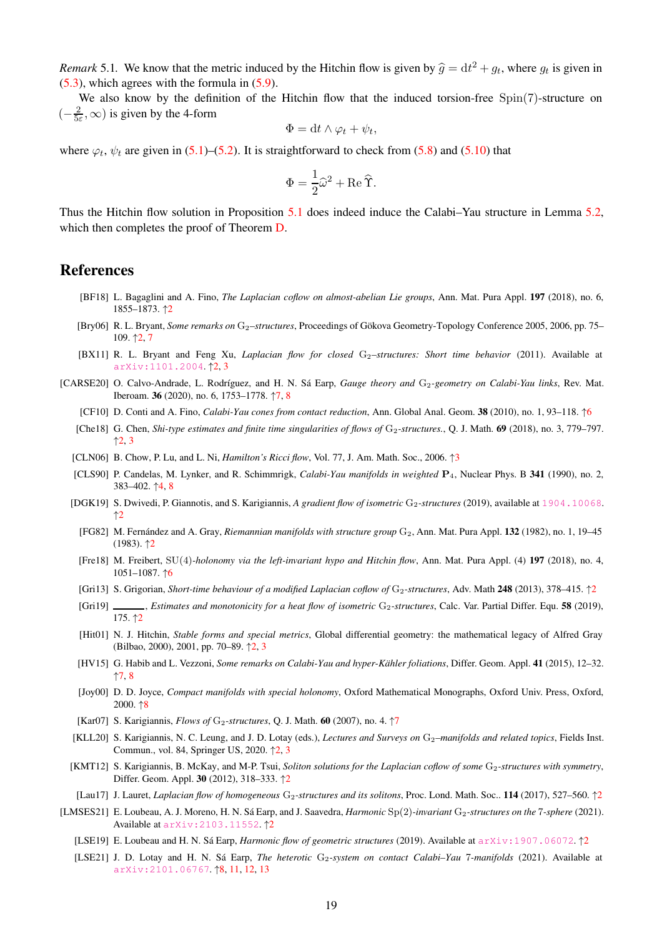<span id="page-18-0"></span>*Remark* 5.1. We know that the metric induced by the Hitchin flow is given by  $\hat{g} = dt^2 + g_t$ , where  $g_t$  is given in [\(5.3\)](#page-17-8), which agrees with the formula in [\(5.9\)](#page-17-7).

We also know by the definition of the Hitchin flow that the induced torsion-free  $Spin(7)$ -structure on  $\left(-\frac{2}{5}\right)$  $\frac{2}{5\varepsilon}$ ,  $\infty$ ) is given by the 4-form

$$
\Phi = dt \wedge \varphi_t + \psi_t,
$$

where  $\varphi_t$ ,  $\psi_t$  are given in [\(5.1\)](#page-17-9)–[\(5.2\)](#page-17-10). It is straightforward to check from [\(5.8\)](#page-17-5) and [\(5.10\)](#page-17-6) that

$$
\Phi = \frac{1}{2}\hat{\omega}^2 + \text{Re}\,\hat{\Upsilon}.
$$

Thus the Hitchin flow solution in Proposition [5.1](#page-17-4) does indeed induce the Calabi–Yau structure in Lemma [5.2,](#page-17-11) which then completes the proof of Theorem [D.](#page-4-2)

# References

- <span id="page-18-5"></span>[BF18] L. Bagaglini and A. Fino, *The Laplacian coflow on almost-abelian Lie groups*, Ann. Mat. Pura Appl. 197 (2018), no. 6, 1855–1873. ↑[2](#page-1-6)
- <span id="page-18-1"></span>[Bry06] R. L. Bryant, *Some remarks on* G2*–structures*, Proceedings of Gökova Geometry-Topology Conference 2005, 2006, pp. 75– 109. ↑[2,](#page-1-6) [7](#page-6-7)
- <span id="page-18-2"></span>[BX11] R. L. Bryant and Feng Xu, *Laplacian flow for closed* G<sub>2</sub>–structures: Short time behavior (2011). Available at [arXiv:1101.2004](https://arxiv.org/abs/1101.2004). ↑[2,](#page-1-6) [3](#page-2-6)
- <span id="page-18-21"></span><span id="page-18-18"></span><span id="page-18-17"></span><span id="page-18-16"></span><span id="page-18-15"></span><span id="page-18-14"></span><span id="page-18-13"></span><span id="page-18-11"></span><span id="page-18-7"></span>[CARSE20] O. Calvo-Andrade, L. Rodríguez, and H. N. Sá Earp, *Gauge theory and* G<sub>2</sub>-geometry on Calabi-Yau links, Rev. Mat. Iberoam. 36 (2020), no. 6, 1753–1778. ↑[7,](#page-6-7) [8](#page-7-6)
	- [CF10] D. Conti and A. Fino, *Calabi-Yau cones from contact reduction*, Ann. Global Anal. Geom. 38 (2010), no. 1, 93–118. ↑[6](#page-5-2)
	- [Che18] G. Chen, *Shi-type estimates and finite time singularities of flows of* G<sub>2</sub>-structures., Q. J. Math. 69 (2018), no. 3, 779–797.  $\uparrow$  [2,](#page-1-6) [3](#page-2-6)
	- [CLN06] B. Chow, P. Lu, and L. Ni, *Hamilton's Ricci flow*, Vol. 77, J. Am. Math. Soc., 2006. ↑[3](#page-2-6)
	- [CLS90] P. Candelas, M. Lynker, and R. Schimmrigk, *Calabi-Yau manifolds in weighted* P4, Nuclear Phys. B 341 (1990), no. 2, 383–402. ↑[4,](#page-3-5) [8](#page-7-6)
	- [DGK19] S. Dwivedi, P. Giannotis, and S. Karigiannis, *A gradient flow of isometric* G<sub>2</sub>-structures (2019), available at <1904.10068>. ↑[2](#page-1-6)
	- [FG82] M. Fernández and A. Gray, *Riemannian manifolds with structure group* G<sub>2</sub>, Ann. Mat. Pura Appl. 132 (1982), no. 1, 19–45  $(1983)$ .  $\uparrow$  [2](#page-1-6)
	- [Fre18] M. Freibert, SU(4)*-holonomy via the left-invariant hypo and Hitchin flow*, Ann. Mat. Pura Appl. (4) 197 (2018), no. 4, 1051–1087. ↑[6](#page-5-2)
	- [Gri13] S. Grigorian, *Short-time behaviour of a modified Laplacian coflow of* G<sub>[2](#page-1-6)</sub>-structures, Adv. Math 248 (2013), 378–415. ↑2
	- [Gri19] *Stimates and monotonicity for a heat flow of isometric* G<sub>2</sub>-structures, Calc. Var. Partial Differ. Equ. 58 (2019), 175. ↑[2](#page-1-6)
	- [Hit01] N. J. Hitchin, *Stable forms and special metrics*, Global differential geometry: the mathematical legacy of Alfred Gray (Bilbao, 2000), 2001, pp. 70–89. ↑[2,](#page-1-6) [3](#page-2-6)
	- [HV15] G. Habib and L. Vezzoni, *Some remarks on Calabi-Yau and hyper-Kähler foliations*, Differ. Geom. Appl. 41 (2015), 12–32. ↑[7,](#page-6-7) [8](#page-7-6)
	- [Joy00] D. D. Joyce, *Compact manifolds with special holonomy*, Oxford Mathematical Monographs, Oxford Univ. Press, Oxford, 2000. ↑[8](#page-7-6)
	- [Kar0[7](#page-6-7)] S. Karigiannis, *Flows of* G<sub>2</sub>-structures, Q. J. Math. 60 (2007), no. 4.  $\uparrow$ 7
	- [KLL20] S. Karigiannis, N. C. Leung, and J. D. Lotay (eds.), *Lectures and Surveys on* G<sub>2</sub>–manifolds and related topics, Fields Inst. Commun., vol. 84, Springer US, 2020. ↑[2,](#page-1-6) [3](#page-2-6)
	- [KMT12] S. Karigiannis, B. McKay, and M-P. Tsui, *Soliton solutions for the Laplacian coflow of some* G<sub>2</sub>-structures with symmetry, Differ. Geom. Appl. 30 (2012), 318–333. ↑[2](#page-1-6)
	- [Lau17] J. Lauret, *Laplacian flow of homogeneous* G<sub>[2](#page-1-6)</sub>-structures and its solitons, Proc. Lond. Math. Soc.. 114 (2017), 527–560. ↑2
- <span id="page-18-23"></span><span id="page-18-22"></span><span id="page-18-20"></span><span id="page-18-19"></span><span id="page-18-12"></span><span id="page-18-10"></span><span id="page-18-9"></span><span id="page-18-8"></span><span id="page-18-6"></span><span id="page-18-4"></span><span id="page-18-3"></span>[LMSES21] E. Loubeau, A. J. Moreno, H. N. Sá Earp, and J. Saavedra, *Harmonic* Sp(2)-invariant G<sub>2</sub>-structures on the 7-sphere (2021). Available at [arXiv:2103.11552](https://arxiv.org/abs/2103.11552). ↑[2](#page-1-6)
	- [LSE19] E. Loubeau and H. N. Sá Earp, *Harmonic flow of geometric structures* (2019). Available at [arXiv:1907.06072](https://arxiv.org/abs/1907.06072). ↑[2](#page-1-6)
	- [LSE21] J. D. Lotay and H. N. Sá Earp, *The heterotic* G<sub>2</sub>-system on contact Calabi-Yau 7-manifolds (2021). Available at [arXiv:2101.06767](https://arxiv.org/abs/2101.06767). ↑[8,](#page-7-6) [11,](#page-10-3) [12,](#page-11-11) [13](#page-12-3)